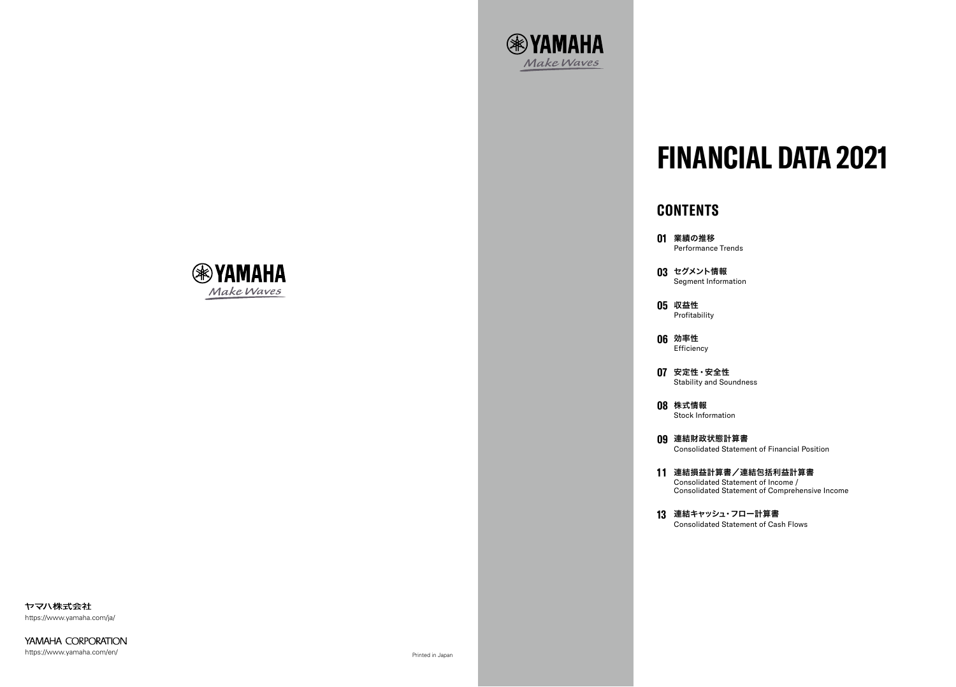ヤマハ株式会社 https://www.yamaha.com/ja/

YAMAHA CORPORATION https://www.yamaha.com/en/

# **CONTENTS**

- **01** 業績の推移 Performance Trends
- **03** セグメント情報 Segment Information
- **05** 収益性 Profitability
- **06** 効率性 Efficiency
- **07** 安定性・安全性 Stability and Soundness
- **08** 株式情報 Stock Information
- **09** 連結財政状態計算書 Consolidated Statement of Financial Position
- **1 1** 連結損益計算書/連結包括利益計算書 Consolidated Statement of Income /
- **13** 連結キャッシュ・フロー計算書 Consolidated Statement of Cash Flows



Consolidated Statement of Comprehensive Income



# **FINANCIAL DATA 2021**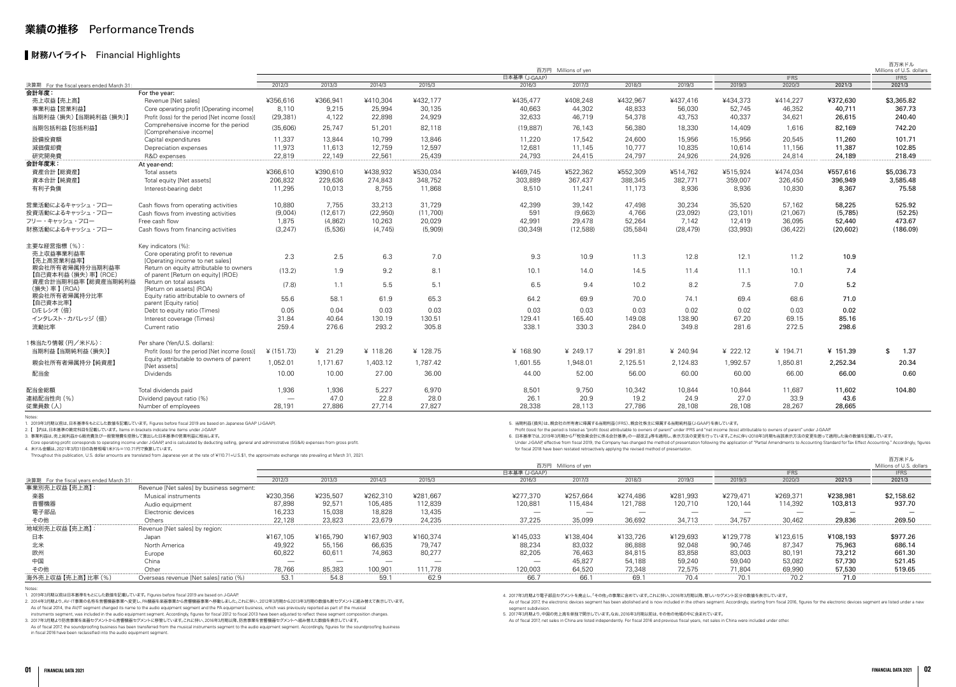| <b>IFRS</b><br><b>IFRS</b><br>日本基準 (J-GAAP)<br>2012/3<br>2013/3<br>2014/3<br>2015/3<br>2016/3<br>2017/3<br>2018/3<br>2019/3<br>2019/3<br>2020/3<br>2021/3<br>2021/3<br>For the year:<br>¥432,177<br>¥372,630<br>¥356,616<br>¥366,941<br>¥410,304<br>¥435,477<br>¥408,248<br>¥432,967<br>¥437.416<br>¥434,373<br>¥414,227<br>\$3,365.82<br>売上収益【売上高】<br>Revenue [Net sales]<br>48,833<br>52.745<br>46,352<br>367.73<br>事業利益【営業利益】<br>8.110<br>9,215<br>25,994<br>30,135<br>40.663<br>44,302<br>56.030<br>40.711<br>Core operating profit [Operating income]<br>4,122<br>24,929<br>40.337<br>当期利益(損失)【当期純利益(損失)】<br>(29, 381)<br>22,898<br>32,633<br>46.719<br>54,378<br>43,753<br>34,621<br>26,615<br>240.40<br>Profit (loss) for the period [Net income (loss)]<br>Comprehensive income for the period<br>(35,606)<br>82,118<br>当期包括利益【包括利益】<br>25.747<br>51,201<br>76.143<br>56,380<br>18,330<br>1.616<br>82,169<br>742.20<br>(19, 887)<br>14.409<br>[Comprehensive income]<br>24,600<br>設備投資額<br>11,337<br>13.844<br>10,799<br>13,846<br>11,220<br>17,542<br>15.956<br>15,956<br>20,545<br>11,260<br>101.71<br>Capital expenditures<br>12,597<br>10,835<br>102.85<br>減価償却費<br>11,973<br>11,613<br>12,759<br>12,681<br>11.145<br>10,777<br>10.614<br>11,156<br>11,387<br>Depreciation expenses<br>22,561<br>25,439<br>24,793<br>24.415<br>24,797<br>24,926<br>24.926<br>24,189<br>研究開発費<br>22,819<br>22.149<br>24,814<br>218.49<br>R&D expenses<br>At year-end:<br>¥390.610<br>¥438.932<br>¥530,034<br>¥469,745<br>¥522.362<br>¥552.309<br>¥474,034<br>¥557,616<br>\$5,036.73<br>資産合計【総資産】<br>Total assets<br>¥366,610<br>¥514.762<br>¥515.924<br>206,832<br>348,752<br>388,345<br>326,450<br>396,949<br>3,585.48<br>資本合計【純資産】<br>229,636<br>274,843<br>303,889<br>367,437<br>382,771<br>359,007<br>Total equity [Net assets]<br>8.755<br>11,868<br>有利子負債<br>11,295<br>10.013<br>8.510<br>11.241<br>11,173<br>8.936<br>8,936<br>10,830<br>8,367<br>75.58<br>Interest-bearing debt<br>10,880<br>7,755<br>33,213<br>31,729<br>42,399<br>35,520<br>57,162<br>58,225<br>525.92<br>営業活動によるキャッシュ・フロー<br>39,142<br>47,498<br>30,234<br>Cash flows from operating activities<br>(9,004)<br>(12, 617)<br>(11,700)<br>591<br>(9,663)<br>4,766<br>(23, 101)<br>(21,067)<br>(5,785)<br>(52.25)<br>(22,950)<br>(23,092)<br>Cash flows from investing activities<br>1,875<br>(4,862)<br>20,029<br>42,991<br>29,478<br>52,264<br>36,095<br>52,440<br>473.67<br>フリー・キャッシュ・フロー<br>Free cash flow<br>10,263<br>7,142<br>12,419<br>(3, 247)<br>(5,536)<br>(4, 745)<br>(5,909)<br>(30, 349)<br>(12,588)<br>(35, 584)<br>(28, 479)<br>(33,993)<br>(36, 422)<br>(186.09)<br>財務活動によるキャッシュ・フロー<br>Cash flows from financing activities<br>(20, 602)<br>Kev indicators (%):<br>売上収益事業利益率<br>Core operating profit to revenue<br>2.3<br>2.5<br>6.3<br>7.0<br>9.3<br>10.9<br>11.3<br>12.8<br>12.1<br>11.2<br>10.9<br>【売上高営業利益率】<br>[Operating income to net sales]<br>親会社所有者帰属持分当期利益率<br>Return on equity attributable to owners<br>(13.2)<br>1.9<br>9.2<br>8.1<br>10.1<br>14.0<br>14.5<br>11.4<br>11.1<br>10.1<br>7.4<br>【自己資本利益 (損失) 率】 (ROE)<br>of parent [Return on equity] (ROE)<br>資産合計当期利益率【総資産当期純利益<br>Return on total assets<br>5.2<br>5.5<br>5.1<br>6.5<br>9.4<br>8.2<br>7.5<br>(7.8)<br>1.1<br>10.2<br>7.0<br>(損失) 率 】 (ROA)<br>[Return on assets] (ROA)<br>親会社所有者帰属持分比率<br>Equity ratio attributable to owners of<br>55.6<br>58.1<br>61.9<br>65.3<br>64.2<br>69.9<br>70.0<br>74.1<br>69.4<br>68.6<br>71.0<br>【自己資本比率】<br>parent [Equity ratio]<br>0.05<br>0.03<br>0.03<br>0.03<br>0.03<br>0.02<br>0.03<br>0.02<br>D/Eレシオ (倍)<br>0.04<br>0.03<br>0.02<br>Debt to equity ratio (Times)<br>85.16<br>31.84<br>40.64<br>130.19<br>130.51<br>129.41<br>165.40<br>149.08<br>138.90<br>67.20<br>69.15<br>インタレスト・カバレッジ (倍)<br>Interest coverage (Times)<br>305.8<br>338.1<br>259.4<br>276.6<br>293.2<br>330.3<br>284.0<br>349.8<br>281.6<br>272.5<br>298.6<br>流動比率<br>Current ratio<br>1株当たり情報 (円/米ドル):<br>Per share (Yen/U.S. dollars):<br>¥ (151.73)<br>¥ 21.29<br>¥ 118.26<br>¥ 128.75<br>¥ 168.90<br>¥ 249.17<br>¥ 291.81<br>¥ 240.94<br>¥ 222.12<br>¥ 194.71<br>¥ 151.39<br>\$<br>1.37<br>当期利益【当期純利益(損失)】<br>Profit (loss) for the period [Net income (loss)]<br>Equity attributable to owners of parent<br>1.052.01<br>1.171.67<br>1.787.42<br>2,252.34<br>20.34<br>1,403.12<br>1.601.55<br>1.948.01<br>2.125.51<br>2,124.83<br>1.992.57<br>1.850.81<br>親会社所有者帰属持分【純資産】<br>[Net assets]<br>配当金<br>10.00<br>10.00<br>27.00<br>36.00<br>44.00<br>52.00<br>56.00<br>60.00<br>60.00<br>0.60<br>Dividends<br>66.00<br>66.00<br>1,936<br>5,227<br>6,970<br>8,501<br>9,750<br>10.844<br>11,602<br>104.80<br>1,936<br>10,342<br>10.844<br>11,687<br>Total dividends paid<br>47.0<br>22.8<br>28.0<br>26.1<br>20.9<br>19.2<br>27.0<br>33.9<br>43.6<br>24.9<br>Dividend payout ratio (%)<br>$\overline{\phantom{m}}$<br>27,886<br>27,714<br>27,827<br>28.338<br>28,113<br>27,786<br>28.108<br>28,665<br>28.191<br>28.108<br>28,267<br>Number of employees |                                          |  |  |  | 百万円 Millions of ven |  |  | 百万米ドル<br>Millions of U.S. dollars |
|-------------------------------------------------------------------------------------------------------------------------------------------------------------------------------------------------------------------------------------------------------------------------------------------------------------------------------------------------------------------------------------------------------------------------------------------------------------------------------------------------------------------------------------------------------------------------------------------------------------------------------------------------------------------------------------------------------------------------------------------------------------------------------------------------------------------------------------------------------------------------------------------------------------------------------------------------------------------------------------------------------------------------------------------------------------------------------------------------------------------------------------------------------------------------------------------------------------------------------------------------------------------------------------------------------------------------------------------------------------------------------------------------------------------------------------------------------------------------------------------------------------------------------------------------------------------------------------------------------------------------------------------------------------------------------------------------------------------------------------------------------------------------------------------------------------------------------------------------------------------------------------------------------------------------------------------------------------------------------------------------------------------------------------------------------------------------------------------------------------------------------------------------------------------------------------------------------------------------------------------------------------------------------------------------------------------------------------------------------------------------------------------------------------------------------------------------------------------------------------------------------------------------------------------------------------------------------------------------------------------------------------------------------------------------------------------------------------------------------------------------------------------------------------------------------------------------------------------------------------------------------------------------------------------------------------------------------------------------------------------------------------------------------------------------------------------------------------------------------------------------------------------------------------------------------------------------------------------------------------------------------------------------------------------------------------------------------------------------------------------------------------------------------------------------------------------------------------------------------------------------------------------------------------------------------------------------------------------------------------------------------------------------------------------------------------------------------------------------------------------------------------------------------------------------------------------------------------------------------------------------------------------------------------------------------------------------------------------------------------------------------------------------------------------------------------------------------------------------------------------------------------------------------------------------------------------------------------------------------------------------------------------------------------------------------------------------------------------------------------------------------------------------------------------------------------------------------------------------------------------------------------------------------------------------------------------------------------------------------------------------------------------------------------------------------------------------------------------------------------------------------------------------------------------------------------------------------------------------------------------------------------------------------------------------------------------------------------------------------------------------------------------------------|------------------------------------------|--|--|--|---------------------|--|--|-----------------------------------|
|                                                                                                                                                                                                                                                                                                                                                                                                                                                                                                                                                                                                                                                                                                                                                                                                                                                                                                                                                                                                                                                                                                                                                                                                                                                                                                                                                                                                                                                                                                                                                                                                                                                                                                                                                                                                                                                                                                                                                                                                                                                                                                                                                                                                                                                                                                                                                                                                                                                                                                                                                                                                                                                                                                                                                                                                                                                                                                                                                                                                                                                                                                                                                                                                                                                                                                                                                                                                                                                                                                                                                                                                                                                                                                                                                                                                                                                                                                                                                                                                                                                                                                                                                                                                                                                                                                                                                                                                                                                                                                                                                                                                                                                                                                                                                                                                                                                                                                                                                                                                                               |                                          |  |  |  |                     |  |  |                                   |
|                                                                                                                                                                                                                                                                                                                                                                                                                                                                                                                                                                                                                                                                                                                                                                                                                                                                                                                                                                                                                                                                                                                                                                                                                                                                                                                                                                                                                                                                                                                                                                                                                                                                                                                                                                                                                                                                                                                                                                                                                                                                                                                                                                                                                                                                                                                                                                                                                                                                                                                                                                                                                                                                                                                                                                                                                                                                                                                                                                                                                                                                                                                                                                                                                                                                                                                                                                                                                                                                                                                                                                                                                                                                                                                                                                                                                                                                                                                                                                                                                                                                                                                                                                                                                                                                                                                                                                                                                                                                                                                                                                                                                                                                                                                                                                                                                                                                                                                                                                                                                               | 決算期 For the fiscal years ended March 31: |  |  |  |                     |  |  |                                   |
|                                                                                                                                                                                                                                                                                                                                                                                                                                                                                                                                                                                                                                                                                                                                                                                                                                                                                                                                                                                                                                                                                                                                                                                                                                                                                                                                                                                                                                                                                                                                                                                                                                                                                                                                                                                                                                                                                                                                                                                                                                                                                                                                                                                                                                                                                                                                                                                                                                                                                                                                                                                                                                                                                                                                                                                                                                                                                                                                                                                                                                                                                                                                                                                                                                                                                                                                                                                                                                                                                                                                                                                                                                                                                                                                                                                                                                                                                                                                                                                                                                                                                                                                                                                                                                                                                                                                                                                                                                                                                                                                                                                                                                                                                                                                                                                                                                                                                                                                                                                                                               | 会計年度:                                    |  |  |  |                     |  |  |                                   |
|                                                                                                                                                                                                                                                                                                                                                                                                                                                                                                                                                                                                                                                                                                                                                                                                                                                                                                                                                                                                                                                                                                                                                                                                                                                                                                                                                                                                                                                                                                                                                                                                                                                                                                                                                                                                                                                                                                                                                                                                                                                                                                                                                                                                                                                                                                                                                                                                                                                                                                                                                                                                                                                                                                                                                                                                                                                                                                                                                                                                                                                                                                                                                                                                                                                                                                                                                                                                                                                                                                                                                                                                                                                                                                                                                                                                                                                                                                                                                                                                                                                                                                                                                                                                                                                                                                                                                                                                                                                                                                                                                                                                                                                                                                                                                                                                                                                                                                                                                                                                                               |                                          |  |  |  |                     |  |  |                                   |
|                                                                                                                                                                                                                                                                                                                                                                                                                                                                                                                                                                                                                                                                                                                                                                                                                                                                                                                                                                                                                                                                                                                                                                                                                                                                                                                                                                                                                                                                                                                                                                                                                                                                                                                                                                                                                                                                                                                                                                                                                                                                                                                                                                                                                                                                                                                                                                                                                                                                                                                                                                                                                                                                                                                                                                                                                                                                                                                                                                                                                                                                                                                                                                                                                                                                                                                                                                                                                                                                                                                                                                                                                                                                                                                                                                                                                                                                                                                                                                                                                                                                                                                                                                                                                                                                                                                                                                                                                                                                                                                                                                                                                                                                                                                                                                                                                                                                                                                                                                                                                               |                                          |  |  |  |                     |  |  |                                   |
|                                                                                                                                                                                                                                                                                                                                                                                                                                                                                                                                                                                                                                                                                                                                                                                                                                                                                                                                                                                                                                                                                                                                                                                                                                                                                                                                                                                                                                                                                                                                                                                                                                                                                                                                                                                                                                                                                                                                                                                                                                                                                                                                                                                                                                                                                                                                                                                                                                                                                                                                                                                                                                                                                                                                                                                                                                                                                                                                                                                                                                                                                                                                                                                                                                                                                                                                                                                                                                                                                                                                                                                                                                                                                                                                                                                                                                                                                                                                                                                                                                                                                                                                                                                                                                                                                                                                                                                                                                                                                                                                                                                                                                                                                                                                                                                                                                                                                                                                                                                                                               |                                          |  |  |  |                     |  |  |                                   |
|                                                                                                                                                                                                                                                                                                                                                                                                                                                                                                                                                                                                                                                                                                                                                                                                                                                                                                                                                                                                                                                                                                                                                                                                                                                                                                                                                                                                                                                                                                                                                                                                                                                                                                                                                                                                                                                                                                                                                                                                                                                                                                                                                                                                                                                                                                                                                                                                                                                                                                                                                                                                                                                                                                                                                                                                                                                                                                                                                                                                                                                                                                                                                                                                                                                                                                                                                                                                                                                                                                                                                                                                                                                                                                                                                                                                                                                                                                                                                                                                                                                                                                                                                                                                                                                                                                                                                                                                                                                                                                                                                                                                                                                                                                                                                                                                                                                                                                                                                                                                                               |                                          |  |  |  |                     |  |  |                                   |
|                                                                                                                                                                                                                                                                                                                                                                                                                                                                                                                                                                                                                                                                                                                                                                                                                                                                                                                                                                                                                                                                                                                                                                                                                                                                                                                                                                                                                                                                                                                                                                                                                                                                                                                                                                                                                                                                                                                                                                                                                                                                                                                                                                                                                                                                                                                                                                                                                                                                                                                                                                                                                                                                                                                                                                                                                                                                                                                                                                                                                                                                                                                                                                                                                                                                                                                                                                                                                                                                                                                                                                                                                                                                                                                                                                                                                                                                                                                                                                                                                                                                                                                                                                                                                                                                                                                                                                                                                                                                                                                                                                                                                                                                                                                                                                                                                                                                                                                                                                                                                               |                                          |  |  |  |                     |  |  |                                   |
|                                                                                                                                                                                                                                                                                                                                                                                                                                                                                                                                                                                                                                                                                                                                                                                                                                                                                                                                                                                                                                                                                                                                                                                                                                                                                                                                                                                                                                                                                                                                                                                                                                                                                                                                                                                                                                                                                                                                                                                                                                                                                                                                                                                                                                                                                                                                                                                                                                                                                                                                                                                                                                                                                                                                                                                                                                                                                                                                                                                                                                                                                                                                                                                                                                                                                                                                                                                                                                                                                                                                                                                                                                                                                                                                                                                                                                                                                                                                                                                                                                                                                                                                                                                                                                                                                                                                                                                                                                                                                                                                                                                                                                                                                                                                                                                                                                                                                                                                                                                                                               |                                          |  |  |  |                     |  |  |                                   |
|                                                                                                                                                                                                                                                                                                                                                                                                                                                                                                                                                                                                                                                                                                                                                                                                                                                                                                                                                                                                                                                                                                                                                                                                                                                                                                                                                                                                                                                                                                                                                                                                                                                                                                                                                                                                                                                                                                                                                                                                                                                                                                                                                                                                                                                                                                                                                                                                                                                                                                                                                                                                                                                                                                                                                                                                                                                                                                                                                                                                                                                                                                                                                                                                                                                                                                                                                                                                                                                                                                                                                                                                                                                                                                                                                                                                                                                                                                                                                                                                                                                                                                                                                                                                                                                                                                                                                                                                                                                                                                                                                                                                                                                                                                                                                                                                                                                                                                                                                                                                                               |                                          |  |  |  |                     |  |  |                                   |
|                                                                                                                                                                                                                                                                                                                                                                                                                                                                                                                                                                                                                                                                                                                                                                                                                                                                                                                                                                                                                                                                                                                                                                                                                                                                                                                                                                                                                                                                                                                                                                                                                                                                                                                                                                                                                                                                                                                                                                                                                                                                                                                                                                                                                                                                                                                                                                                                                                                                                                                                                                                                                                                                                                                                                                                                                                                                                                                                                                                                                                                                                                                                                                                                                                                                                                                                                                                                                                                                                                                                                                                                                                                                                                                                                                                                                                                                                                                                                                                                                                                                                                                                                                                                                                                                                                                                                                                                                                                                                                                                                                                                                                                                                                                                                                                                                                                                                                                                                                                                                               | 会計年度末:                                   |  |  |  |                     |  |  |                                   |
|                                                                                                                                                                                                                                                                                                                                                                                                                                                                                                                                                                                                                                                                                                                                                                                                                                                                                                                                                                                                                                                                                                                                                                                                                                                                                                                                                                                                                                                                                                                                                                                                                                                                                                                                                                                                                                                                                                                                                                                                                                                                                                                                                                                                                                                                                                                                                                                                                                                                                                                                                                                                                                                                                                                                                                                                                                                                                                                                                                                                                                                                                                                                                                                                                                                                                                                                                                                                                                                                                                                                                                                                                                                                                                                                                                                                                                                                                                                                                                                                                                                                                                                                                                                                                                                                                                                                                                                                                                                                                                                                                                                                                                                                                                                                                                                                                                                                                                                                                                                                                               |                                          |  |  |  |                     |  |  |                                   |
|                                                                                                                                                                                                                                                                                                                                                                                                                                                                                                                                                                                                                                                                                                                                                                                                                                                                                                                                                                                                                                                                                                                                                                                                                                                                                                                                                                                                                                                                                                                                                                                                                                                                                                                                                                                                                                                                                                                                                                                                                                                                                                                                                                                                                                                                                                                                                                                                                                                                                                                                                                                                                                                                                                                                                                                                                                                                                                                                                                                                                                                                                                                                                                                                                                                                                                                                                                                                                                                                                                                                                                                                                                                                                                                                                                                                                                                                                                                                                                                                                                                                                                                                                                                                                                                                                                                                                                                                                                                                                                                                                                                                                                                                                                                                                                                                                                                                                                                                                                                                                               |                                          |  |  |  |                     |  |  |                                   |
|                                                                                                                                                                                                                                                                                                                                                                                                                                                                                                                                                                                                                                                                                                                                                                                                                                                                                                                                                                                                                                                                                                                                                                                                                                                                                                                                                                                                                                                                                                                                                                                                                                                                                                                                                                                                                                                                                                                                                                                                                                                                                                                                                                                                                                                                                                                                                                                                                                                                                                                                                                                                                                                                                                                                                                                                                                                                                                                                                                                                                                                                                                                                                                                                                                                                                                                                                                                                                                                                                                                                                                                                                                                                                                                                                                                                                                                                                                                                                                                                                                                                                                                                                                                                                                                                                                                                                                                                                                                                                                                                                                                                                                                                                                                                                                                                                                                                                                                                                                                                                               |                                          |  |  |  |                     |  |  |                                   |
|                                                                                                                                                                                                                                                                                                                                                                                                                                                                                                                                                                                                                                                                                                                                                                                                                                                                                                                                                                                                                                                                                                                                                                                                                                                                                                                                                                                                                                                                                                                                                                                                                                                                                                                                                                                                                                                                                                                                                                                                                                                                                                                                                                                                                                                                                                                                                                                                                                                                                                                                                                                                                                                                                                                                                                                                                                                                                                                                                                                                                                                                                                                                                                                                                                                                                                                                                                                                                                                                                                                                                                                                                                                                                                                                                                                                                                                                                                                                                                                                                                                                                                                                                                                                                                                                                                                                                                                                                                                                                                                                                                                                                                                                                                                                                                                                                                                                                                                                                                                                                               |                                          |  |  |  |                     |  |  |                                   |
|                                                                                                                                                                                                                                                                                                                                                                                                                                                                                                                                                                                                                                                                                                                                                                                                                                                                                                                                                                                                                                                                                                                                                                                                                                                                                                                                                                                                                                                                                                                                                                                                                                                                                                                                                                                                                                                                                                                                                                                                                                                                                                                                                                                                                                                                                                                                                                                                                                                                                                                                                                                                                                                                                                                                                                                                                                                                                                                                                                                                                                                                                                                                                                                                                                                                                                                                                                                                                                                                                                                                                                                                                                                                                                                                                                                                                                                                                                                                                                                                                                                                                                                                                                                                                                                                                                                                                                                                                                                                                                                                                                                                                                                                                                                                                                                                                                                                                                                                                                                                                               | 投資活動によるキャッシュ・フロー                         |  |  |  |                     |  |  |                                   |
|                                                                                                                                                                                                                                                                                                                                                                                                                                                                                                                                                                                                                                                                                                                                                                                                                                                                                                                                                                                                                                                                                                                                                                                                                                                                                                                                                                                                                                                                                                                                                                                                                                                                                                                                                                                                                                                                                                                                                                                                                                                                                                                                                                                                                                                                                                                                                                                                                                                                                                                                                                                                                                                                                                                                                                                                                                                                                                                                                                                                                                                                                                                                                                                                                                                                                                                                                                                                                                                                                                                                                                                                                                                                                                                                                                                                                                                                                                                                                                                                                                                                                                                                                                                                                                                                                                                                                                                                                                                                                                                                                                                                                                                                                                                                                                                                                                                                                                                                                                                                                               |                                          |  |  |  |                     |  |  |                                   |
|                                                                                                                                                                                                                                                                                                                                                                                                                                                                                                                                                                                                                                                                                                                                                                                                                                                                                                                                                                                                                                                                                                                                                                                                                                                                                                                                                                                                                                                                                                                                                                                                                                                                                                                                                                                                                                                                                                                                                                                                                                                                                                                                                                                                                                                                                                                                                                                                                                                                                                                                                                                                                                                                                                                                                                                                                                                                                                                                                                                                                                                                                                                                                                                                                                                                                                                                                                                                                                                                                                                                                                                                                                                                                                                                                                                                                                                                                                                                                                                                                                                                                                                                                                                                                                                                                                                                                                                                                                                                                                                                                                                                                                                                                                                                                                                                                                                                                                                                                                                                                               |                                          |  |  |  |                     |  |  |                                   |
|                                                                                                                                                                                                                                                                                                                                                                                                                                                                                                                                                                                                                                                                                                                                                                                                                                                                                                                                                                                                                                                                                                                                                                                                                                                                                                                                                                                                                                                                                                                                                                                                                                                                                                                                                                                                                                                                                                                                                                                                                                                                                                                                                                                                                                                                                                                                                                                                                                                                                                                                                                                                                                                                                                                                                                                                                                                                                                                                                                                                                                                                                                                                                                                                                                                                                                                                                                                                                                                                                                                                                                                                                                                                                                                                                                                                                                                                                                                                                                                                                                                                                                                                                                                                                                                                                                                                                                                                                                                                                                                                                                                                                                                                                                                                                                                                                                                                                                                                                                                                                               | 主要な経営指標 (%):                             |  |  |  |                     |  |  |                                   |
|                                                                                                                                                                                                                                                                                                                                                                                                                                                                                                                                                                                                                                                                                                                                                                                                                                                                                                                                                                                                                                                                                                                                                                                                                                                                                                                                                                                                                                                                                                                                                                                                                                                                                                                                                                                                                                                                                                                                                                                                                                                                                                                                                                                                                                                                                                                                                                                                                                                                                                                                                                                                                                                                                                                                                                                                                                                                                                                                                                                                                                                                                                                                                                                                                                                                                                                                                                                                                                                                                                                                                                                                                                                                                                                                                                                                                                                                                                                                                                                                                                                                                                                                                                                                                                                                                                                                                                                                                                                                                                                                                                                                                                                                                                                                                                                                                                                                                                                                                                                                                               |                                          |  |  |  |                     |  |  |                                   |
|                                                                                                                                                                                                                                                                                                                                                                                                                                                                                                                                                                                                                                                                                                                                                                                                                                                                                                                                                                                                                                                                                                                                                                                                                                                                                                                                                                                                                                                                                                                                                                                                                                                                                                                                                                                                                                                                                                                                                                                                                                                                                                                                                                                                                                                                                                                                                                                                                                                                                                                                                                                                                                                                                                                                                                                                                                                                                                                                                                                                                                                                                                                                                                                                                                                                                                                                                                                                                                                                                                                                                                                                                                                                                                                                                                                                                                                                                                                                                                                                                                                                                                                                                                                                                                                                                                                                                                                                                                                                                                                                                                                                                                                                                                                                                                                                                                                                                                                                                                                                                               |                                          |  |  |  |                     |  |  |                                   |
|                                                                                                                                                                                                                                                                                                                                                                                                                                                                                                                                                                                                                                                                                                                                                                                                                                                                                                                                                                                                                                                                                                                                                                                                                                                                                                                                                                                                                                                                                                                                                                                                                                                                                                                                                                                                                                                                                                                                                                                                                                                                                                                                                                                                                                                                                                                                                                                                                                                                                                                                                                                                                                                                                                                                                                                                                                                                                                                                                                                                                                                                                                                                                                                                                                                                                                                                                                                                                                                                                                                                                                                                                                                                                                                                                                                                                                                                                                                                                                                                                                                                                                                                                                                                                                                                                                                                                                                                                                                                                                                                                                                                                                                                                                                                                                                                                                                                                                                                                                                                                               |                                          |  |  |  |                     |  |  |                                   |
|                                                                                                                                                                                                                                                                                                                                                                                                                                                                                                                                                                                                                                                                                                                                                                                                                                                                                                                                                                                                                                                                                                                                                                                                                                                                                                                                                                                                                                                                                                                                                                                                                                                                                                                                                                                                                                                                                                                                                                                                                                                                                                                                                                                                                                                                                                                                                                                                                                                                                                                                                                                                                                                                                                                                                                                                                                                                                                                                                                                                                                                                                                                                                                                                                                                                                                                                                                                                                                                                                                                                                                                                                                                                                                                                                                                                                                                                                                                                                                                                                                                                                                                                                                                                                                                                                                                                                                                                                                                                                                                                                                                                                                                                                                                                                                                                                                                                                                                                                                                                                               |                                          |  |  |  |                     |  |  |                                   |
|                                                                                                                                                                                                                                                                                                                                                                                                                                                                                                                                                                                                                                                                                                                                                                                                                                                                                                                                                                                                                                                                                                                                                                                                                                                                                                                                                                                                                                                                                                                                                                                                                                                                                                                                                                                                                                                                                                                                                                                                                                                                                                                                                                                                                                                                                                                                                                                                                                                                                                                                                                                                                                                                                                                                                                                                                                                                                                                                                                                                                                                                                                                                                                                                                                                                                                                                                                                                                                                                                                                                                                                                                                                                                                                                                                                                                                                                                                                                                                                                                                                                                                                                                                                                                                                                                                                                                                                                                                                                                                                                                                                                                                                                                                                                                                                                                                                                                                                                                                                                                               |                                          |  |  |  |                     |  |  |                                   |
|                                                                                                                                                                                                                                                                                                                                                                                                                                                                                                                                                                                                                                                                                                                                                                                                                                                                                                                                                                                                                                                                                                                                                                                                                                                                                                                                                                                                                                                                                                                                                                                                                                                                                                                                                                                                                                                                                                                                                                                                                                                                                                                                                                                                                                                                                                                                                                                                                                                                                                                                                                                                                                                                                                                                                                                                                                                                                                                                                                                                                                                                                                                                                                                                                                                                                                                                                                                                                                                                                                                                                                                                                                                                                                                                                                                                                                                                                                                                                                                                                                                                                                                                                                                                                                                                                                                                                                                                                                                                                                                                                                                                                                                                                                                                                                                                                                                                                                                                                                                                                               |                                          |  |  |  |                     |  |  |                                   |
|                                                                                                                                                                                                                                                                                                                                                                                                                                                                                                                                                                                                                                                                                                                                                                                                                                                                                                                                                                                                                                                                                                                                                                                                                                                                                                                                                                                                                                                                                                                                                                                                                                                                                                                                                                                                                                                                                                                                                                                                                                                                                                                                                                                                                                                                                                                                                                                                                                                                                                                                                                                                                                                                                                                                                                                                                                                                                                                                                                                                                                                                                                                                                                                                                                                                                                                                                                                                                                                                                                                                                                                                                                                                                                                                                                                                                                                                                                                                                                                                                                                                                                                                                                                                                                                                                                                                                                                                                                                                                                                                                                                                                                                                                                                                                                                                                                                                                                                                                                                                                               |                                          |  |  |  |                     |  |  |                                   |
|                                                                                                                                                                                                                                                                                                                                                                                                                                                                                                                                                                                                                                                                                                                                                                                                                                                                                                                                                                                                                                                                                                                                                                                                                                                                                                                                                                                                                                                                                                                                                                                                                                                                                                                                                                                                                                                                                                                                                                                                                                                                                                                                                                                                                                                                                                                                                                                                                                                                                                                                                                                                                                                                                                                                                                                                                                                                                                                                                                                                                                                                                                                                                                                                                                                                                                                                                                                                                                                                                                                                                                                                                                                                                                                                                                                                                                                                                                                                                                                                                                                                                                                                                                                                                                                                                                                                                                                                                                                                                                                                                                                                                                                                                                                                                                                                                                                                                                                                                                                                                               |                                          |  |  |  |                     |  |  |                                   |
|                                                                                                                                                                                                                                                                                                                                                                                                                                                                                                                                                                                                                                                                                                                                                                                                                                                                                                                                                                                                                                                                                                                                                                                                                                                                                                                                                                                                                                                                                                                                                                                                                                                                                                                                                                                                                                                                                                                                                                                                                                                                                                                                                                                                                                                                                                                                                                                                                                                                                                                                                                                                                                                                                                                                                                                                                                                                                                                                                                                                                                                                                                                                                                                                                                                                                                                                                                                                                                                                                                                                                                                                                                                                                                                                                                                                                                                                                                                                                                                                                                                                                                                                                                                                                                                                                                                                                                                                                                                                                                                                                                                                                                                                                                                                                                                                                                                                                                                                                                                                                               |                                          |  |  |  |                     |  |  |                                   |
|                                                                                                                                                                                                                                                                                                                                                                                                                                                                                                                                                                                                                                                                                                                                                                                                                                                                                                                                                                                                                                                                                                                                                                                                                                                                                                                                                                                                                                                                                                                                                                                                                                                                                                                                                                                                                                                                                                                                                                                                                                                                                                                                                                                                                                                                                                                                                                                                                                                                                                                                                                                                                                                                                                                                                                                                                                                                                                                                                                                                                                                                                                                                                                                                                                                                                                                                                                                                                                                                                                                                                                                                                                                                                                                                                                                                                                                                                                                                                                                                                                                                                                                                                                                                                                                                                                                                                                                                                                                                                                                                                                                                                                                                                                                                                                                                                                                                                                                                                                                                                               |                                          |  |  |  |                     |  |  |                                   |
|                                                                                                                                                                                                                                                                                                                                                                                                                                                                                                                                                                                                                                                                                                                                                                                                                                                                                                                                                                                                                                                                                                                                                                                                                                                                                                                                                                                                                                                                                                                                                                                                                                                                                                                                                                                                                                                                                                                                                                                                                                                                                                                                                                                                                                                                                                                                                                                                                                                                                                                                                                                                                                                                                                                                                                                                                                                                                                                                                                                                                                                                                                                                                                                                                                                                                                                                                                                                                                                                                                                                                                                                                                                                                                                                                                                                                                                                                                                                                                                                                                                                                                                                                                                                                                                                                                                                                                                                                                                                                                                                                                                                                                                                                                                                                                                                                                                                                                                                                                                                                               |                                          |  |  |  |                     |  |  |                                   |
|                                                                                                                                                                                                                                                                                                                                                                                                                                                                                                                                                                                                                                                                                                                                                                                                                                                                                                                                                                                                                                                                                                                                                                                                                                                                                                                                                                                                                                                                                                                                                                                                                                                                                                                                                                                                                                                                                                                                                                                                                                                                                                                                                                                                                                                                                                                                                                                                                                                                                                                                                                                                                                                                                                                                                                                                                                                                                                                                                                                                                                                                                                                                                                                                                                                                                                                                                                                                                                                                                                                                                                                                                                                                                                                                                                                                                                                                                                                                                                                                                                                                                                                                                                                                                                                                                                                                                                                                                                                                                                                                                                                                                                                                                                                                                                                                                                                                                                                                                                                                                               | 配当金総額                                    |  |  |  |                     |  |  |                                   |
|                                                                                                                                                                                                                                                                                                                                                                                                                                                                                                                                                                                                                                                                                                                                                                                                                                                                                                                                                                                                                                                                                                                                                                                                                                                                                                                                                                                                                                                                                                                                                                                                                                                                                                                                                                                                                                                                                                                                                                                                                                                                                                                                                                                                                                                                                                                                                                                                                                                                                                                                                                                                                                                                                                                                                                                                                                                                                                                                                                                                                                                                                                                                                                                                                                                                                                                                                                                                                                                                                                                                                                                                                                                                                                                                                                                                                                                                                                                                                                                                                                                                                                                                                                                                                                                                                                                                                                                                                                                                                                                                                                                                                                                                                                                                                                                                                                                                                                                                                                                                                               | 連結配当性向 (%)                               |  |  |  |                     |  |  |                                   |
|                                                                                                                                                                                                                                                                                                                                                                                                                                                                                                                                                                                                                                                                                                                                                                                                                                                                                                                                                                                                                                                                                                                                                                                                                                                                                                                                                                                                                                                                                                                                                                                                                                                                                                                                                                                                                                                                                                                                                                                                                                                                                                                                                                                                                                                                                                                                                                                                                                                                                                                                                                                                                                                                                                                                                                                                                                                                                                                                                                                                                                                                                                                                                                                                                                                                                                                                                                                                                                                                                                                                                                                                                                                                                                                                                                                                                                                                                                                                                                                                                                                                                                                                                                                                                                                                                                                                                                                                                                                                                                                                                                                                                                                                                                                                                                                                                                                                                                                                                                                                                               | 従業員数(人)                                  |  |  |  |                     |  |  |                                   |

6.日本基準では、2019年3月期から『「税効果会計に係る会計基準」の一部改正』等を適用し、表示方法の変更を行っています。これに伴い2018年3月期も当該表示方法の変更を遡って適用した後の数値を記載しています。<br>- Under J-GAAP, effective from fiscal 2019, the Company has changed the method of presentation following the appli for fiscal 2018 have been restated retroactively applying the revised method of presentation.

2. 2014年3月期より、AV・IT事業の名称を音響機器事業へ変更し、PA機器を楽器事業から音響機器事業へ移動しました。これに伴い、2012年3月期から2013年3月期の数値も新セグメントに組み替えて表示しています。 As of fiscal 2014, the AV/IT segment changed its name to the audio equipment segment and the PA equipment business, which was previously reported as part of the musical<br>instruments segment, was included in the audio equipm

As of fiscal 2017, the soundproofing business has been transferred from the musical instruments segment to the audio equipment segment. Accordingly, figures for the soundproofing business in fiscal 2016 have been reclassified into the audio equipment segment.

Notes:

1. 2019年3月期以前は、日本基準をもとにした数値を記載しています。 Figures before fiscal 2019 are based on Japanese GAAP (J-GAAP).

2. 【 】内は、日本基準の勘定科目を記載しています。 Items in brackets indicate line items under J-GAAP. 3. 事業利益は、売上総利益から販売費及び一般管理費を控除して算出した日本基準の営業利益に相当します。

Core operating profit corresponds to operating income under J-GAAP, and is calculated by deducting selling, general and administrative (SG&A) expenses from gross profit.

4. 米ドル金額は、2021年3月31日の為替相場1米ドル=110.71円で換算しています。

5. 当期利益(損失)は、親会社の所有者に帰属する当期利益(IFRS)、親会社株主に帰属する当期純利益(J-GAAP)を表しています。

Profit (loss) for the period is listed as "profit (loss) attributable to owners of parent" under IFRS and "net income (loss) attributable to owners of parent" under J-GAAP.

# 業績の推移 Performance Trends

# **■財務ハイライト** Financial Highlights

| mounts are translated from Japanese yen at the rate of ¥110.71=U.S.\$1, the approximate exchange rate prevailing at March 31, 2021.                                                                                            |        |           |          |          |               |                                         |           |           |       |
|--------------------------------------------------------------------------------------------------------------------------------------------------------------------------------------------------------------------------------|--------|-----------|----------|----------|---------------|-----------------------------------------|-----------|-----------|-------|
|                                                                                                                                                                                                                                |        |           |          |          |               | 百万円 Millions of ven                     |           |           |       |
|                                                                                                                                                                                                                                |        |           |          |          | 日本基準 (J-GAAP) |                                         |           |           |       |
| March 31:                                                                                                                                                                                                                      | 2012/3 | 2013/3    | 2014/3   | 2015/3   | 2016/3        | 2017/3                                  | 2018/3    | 2019/3    | 2019  |
| Revenue [Net sales] by business segment:                                                                                                                                                                                       |        |           |          |          |               |                                         |           |           |       |
| A A and a state of the state of the state of the state of the state of the state of the state of the state of the state of the state of the state of the state of the state of the state of the state of the state of the stat |        | 1/00E E07 | 30000000 | 1/001007 | 1/277.27      | $V$ $\cap$ $\cap$ $\cap$ $\cap$ $\land$ | 1/274.100 | 1/001.000 | 1/270 |

|                                          | Throughout this publication, U.S. dollar amounts are translated from Japanese yen at the rate of ¥110.71=U.S.\$1, the approximate exchange rate prevailing at March 31, 2021. |          |          |          |          |               |                          |          |          |          |             |          |                                   |
|------------------------------------------|-------------------------------------------------------------------------------------------------------------------------------------------------------------------------------|----------|----------|----------|----------|---------------|--------------------------|----------|----------|----------|-------------|----------|-----------------------------------|
|                                          |                                                                                                                                                                               |          |          |          |          |               | 百万円 Millions of yen      |          |          |          |             |          | 百万米ドル<br>Millions of U.S. dollars |
|                                          |                                                                                                                                                                               |          |          |          |          | 日本基準 (J-GAAP) |                          |          |          |          | <b>IFRS</b> |          | <b>IFRS</b>                       |
| 決算期 For the fiscal years ended March 31: |                                                                                                                                                                               | 2012/3   | 2013/3   | 2014/3   | 2015/3   | 2016/3        | 2017/3                   | 2018/3   | 2019/3   | 2019/3   | 2020/3      | 2021/3   | 2021/3                            |
| 事業別売上収益 【売上高】:                           | Revenue [Net sales] by business segment:                                                                                                                                      |          |          |          |          |               |                          |          |          |          |             |          |                                   |
| 楽器                                       | Musical instruments                                                                                                                                                           | ¥230,356 | ¥235,507 | ¥262,310 | ¥281,667 | ¥277.370      | ¥257,664                 | ¥274,486 | ¥281,993 | ¥279,471 | ¥269,371    | ¥238,981 | \$2,158.62                        |
| 音響機器                                     | Audio equipment                                                                                                                                                               | 87,898   | 92,571   | 105,485  | 112,839  | 120,881       | 115,484                  | 121,788  | 120,710  | 120,144  | 114,392     | 103,813  | 937.70                            |
| 電子部品                                     | Electronic devices                                                                                                                                                            | 16.233   | 15.038   | 18,828   | 13,435   |               | $\overline{\phantom{a}}$ |          |          |          |             |          |                                   |
| その他                                      | Others                                                                                                                                                                        | 22,128   | 23,823   | 23,679   | 24,235   | 37,225        | 35,099                   | 36,692   | 34,713   | 34,757   | 30,462      | 29,836   | 269.50                            |
| 地域別売上収益 【売上高】:                           | Revenue [Net sales] by region:                                                                                                                                                |          |          |          |          |               |                          |          |          |          |             |          |                                   |
| 日本                                       | Japan                                                                                                                                                                         | ¥167,105 | ¥165,790 | ¥167,903 | ¥160,374 | ¥145,033      | ¥138,404                 | ¥133,726 | ¥129,693 | ¥129,778 | ¥123,615    | ¥108,193 | \$977.26                          |
| 北米                                       | North America                                                                                                                                                                 | 49,922   | 55,156   | 66,635   | 79,747   | 88,234        | 83,032                   | 86,888   | 92,048   | 90,746   | 87,347      | 75,963   | 686.14                            |
| 欧州                                       | Europe                                                                                                                                                                        | 60,822   | 60,611   | 74,863   | 80,277   | 82,205        | 76,463                   | 84,815   | 83,858   | 83,003   | 80,191      | 73,212   | 661.30                            |
| 中国                                       | China                                                                                                                                                                         |          |          |          |          |               | 45,827                   | 54,188   | 59,240   | 59.040   | 53,082      | 57,730   | 521.45                            |
| その他                                      | Other                                                                                                                                                                         | 78,766   | 85,383   | 100,901  | 111,778  | 120,003       | 64,520                   | 73,348   | 72,575   | 71.804   | 69,990      | 57,530   | 519.65                            |
| 海外売上収益 【売上高】 比率 (%)                      | Overseas revenue [Net sales] ratio (%)                                                                                                                                        | 53.1     | 54.8     | 59.      | 62.9     | 66.           | 66.1                     | 69.      | 70.4     | 70.1     | 70.2        | 71.0     |                                   |

Notes:

1. 2019年3月期以前は日本基準をもとにした数値を記載しています。 Figures before fiscal 2019 are based on J-GAAP.

3. 2017年3月期より防音事業を楽器セグメントから音響機器セグメントに移管しています。これに伴い、2016年3月期以降、防音事業を音響機器セグメントへ組み替えた数値を表示しています。

4. 2017年3月期より電子部品セグメントを廃止し、「その他」の事業に含めています。これに伴い、2016年3月期以降、新しいセグメント区分の数値を表示しています。 As of fiscal 2017, the electronic devices segment has been abolished and is now included in the others segment. Accordingly, starting from fiscal 2016, figures for the electronic devices segment are listed under a new segment subdivision.

5. 2017年3月期より、中国の売上高を単独で開示しています。なお、2016年3月期以前は、その他の地域の中に含まれています。

As of fiscal 2017, net sales in China are listed independently. For fiscal 2016 and previous fiscal years, net sales in China were included under other.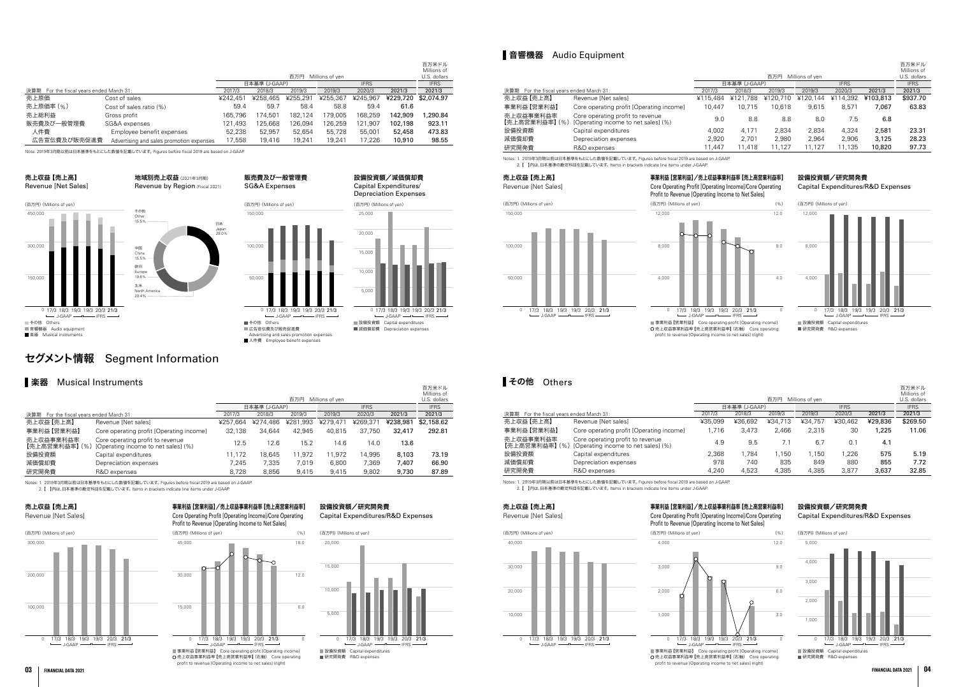# セグメント情報 Segment Information

# ■楽器 Musical Instruments

百万米ドル

# ■音響機器 Audio Equipment

|                                             |                                                                         |          | 百万円<br>Millions of ven       |          |          |          |          |             |
|---------------------------------------------|-------------------------------------------------------------------------|----------|------------------------------|----------|----------|----------|----------|-------------|
|                                             |                                                                         |          | 日本基準 (J-GAAP)<br><b>IFRS</b> |          |          |          |          | <b>IFRS</b> |
| 決算期<br>For the fiscal years ended March 31: |                                                                         | 2017/3   | 2018/3                       | 2019/3   | 2019/3   | 2020/3   | 2021/3   | 2021/3      |
| 売上収益【売上高】                                   | Revenue [Net sales]                                                     | ¥257.664 | ¥274.486                     | ¥281,993 | ¥279,471 | ¥269,371 | ¥238,981 | \$2,158.62  |
| 事業利益【営業利益】                                  | Core operating profit [Operating income]                                | 32.138   | 34.644                       | 42.945   | 40.815   | 37.750   | 32,417   | 292.81      |
| 売上収益事業利益率<br>【売上高営業利益率】 (%)                 | Core operating profit to revenue<br>[Operating income to net sales] (%) | 12.5     | 12.6                         | 15.2     | 14.6     | 14.0     | 13.6     |             |
| 設備投資額                                       | Capital expenditures                                                    | 11.172   | 18.645                       | 11.972   | 11.972   | 14.995   | 8,103    | 73.19       |
| 減価償却費                                       | Depreciation expenses                                                   | 7.245    | 7.335                        | 7.019    | 6.800    | 7.369    | 7.407    | 66.90       |
| 研究開発費                                       | R&D expenses                                                            | 8.728    | 8.856                        | 9.415    | 9.415    | 9.802    | 9.730    | 87.89       |

Notes: 1. 2019年3月期以前は日本基準をもとにした数値を記載しています。 Figures before fiscal 2019 are based on J-GAAP. - ^ コンコンカンカンファルファー コーラー コールコール コンコンコール コンファール コンコール コンコール コンコール コンコール

Notes: 1. 2019年3月期以前は日本基準をもとにした数値を記載しています。 Figures before fiscal 2019 are based on J-GAAP.

2. 【 】内は、日本基準の勘定科目を記載しています。 Items in brackets indicate line items under J-GAAP.



■設備投資額 Capital expenditures ■ <del>欧</del>福沃莫默 | Bapital expenses

# その他 Others

0 17/3 18/3 19/3 19/3 20/3 21/3

LGAAP

事業利益【営業利益】/売上収益事業利益率【売上高営業利益率】 Core Operating Profit [Operating Income]/Core Operating Profit to Revenue [Operating Income to Net Sales]

 売上収益事業利益率【売上高営業利益率】(右軸) Core operating profit to revenue [Operating income to net sales] (right)

 売上収益事業利益率【売上高営業利益率】(右軸) Core operating profit to revenue [Operating income to net sales] (right)

|                                          |                                                                         |          |               | 百万円      | Millions of ven |             |          | 百万米ドル<br>Millions of<br>U.S. dollars |
|------------------------------------------|-------------------------------------------------------------------------|----------|---------------|----------|-----------------|-------------|----------|--------------------------------------|
|                                          |                                                                         |          | 日本基準 (J-GAAP) |          |                 | <b>IFRS</b> |          | <b>IFRS</b>                          |
| 決算期 For the fiscal years ended March 31: | 2017/3                                                                  | 2018/3   | 2019/3        | 2019/3   | 2020/3          | 2021/3      | 2021/3   |                                      |
| 売上収益【売上高】                                | Revenue [Net sales]                                                     | ¥115.484 | ¥121,788      | ¥120.710 | ¥120.144        | ¥114.392    | ¥103,813 | \$937.70                             |
| 事業利益【営業利益】                               | Core operating profit [Operating income]                                | 10.447   | 10.715        | 10.618   | 9.615           | 8,571       | 7,067    | 63.83                                |
| 売上収益事業利益率<br>【売上高営業利益率】 (%)              | Core operating profit to revenue<br>[Operating income to net sales] (%) | 9.0      | 8.8           | 8.8      | 8.0             | 7.5         | 6.8      |                                      |
| 設備投資額                                    | Capital expenditures                                                    | 4.002    | 4.171         | 2.834    | 2.834           | 4.324       | 2,581    | 23.31                                |
| 減価償却費                                    | Depreciation expenses                                                   | 2,920    | 2.701         | 2.980    | 2.964           | 2.906       | 3,125    | 28.23                                |
| 研究開発費                                    | R&D expenses                                                            | 11.447   | 11.418        | 11.127   | 11.127          | 11.135      | 10,820   | 97.73                                |

設備投資額/減価償却費

# 設備投資額/研究開発費

Capital Expenditures/R&D Expenses

Notes: 1. 2019年3月期以前は日本基準をもとにした数値を記載しています。 Figures before fiscal 2019 are based on J-GAAP. 2. 【 】内は、日本基準の勘定科目を記載しています。 Items in brackets indicate line items under J-GAAP.

# 売上収益【売上高】







# 設備投資額/研究開発費

### Capital Expenditures/R&D Expenses

売上収益【売上高】

Revenue [Net Sales]

(百万円)(Millions of yen)

事業利益【営業利益】/売上収益事業利益率【売上高営業利益率】

Core Operating Profit [Operating Income]/Core Operating Profit to Revenue [Operating Income to Net Sales]



50,000

100,000

150,000



### 設備投資額/研究開発費 Capital Expenditures/R&D Expenses



# 売上収益【売上高】

Revenue [Net Sales]



# 事業利益【営業利益】/売上収益事業利益率【売上高営業利益率】

Core Operating Profit [Operating Income]/Core Operating Profit to Revenue [Operating Income to Net Sales]









| ∎ ての1世<br>UTTERS                            |                                                                         |         |               | 百万円     | Millions of ven |             |         | 百万米ドル<br>Millions of<br>U.S. dollars |
|---------------------------------------------|-------------------------------------------------------------------------|---------|---------------|---------|-----------------|-------------|---------|--------------------------------------|
|                                             |                                                                         |         | 日本基準 (J-GAAP) |         |                 | <b>IFRS</b> |         | <b>IFRS</b>                          |
| 決算期<br>For the fiscal vears ended March 31: | 2017/3                                                                  | 2018/3  | 2019/3        | 2019/3  | 2020/3          | 2021/3      | 2021/3  |                                      |
| 売上収益【売上高】                                   | Revenue [Net sales]                                                     | ¥35,099 | ¥36,692       | ¥34,713 | ¥34,757         | ¥30,462     | ¥29,836 | \$269.50                             |
| 事業利益【営業利益】                                  | Core operating profit [Operating income]                                | 1.716   | 3.473         | 2.466   | 2.315           | 30          | 1,225   | 11.06                                |
| 売上収益事業利益率<br>【売上高営業利益率】 (%)                 | Core operating profit to revenue<br>[Operating income to net sales] (%) | 4.9     | 9.5           | 7.1     | 6.7             | 0.1         | 4.1     |                                      |
| 設備投資額                                       | Capital expenditures                                                    | 2,368   | 1.784         | 1.150   | 1.150           | 1.226       | 575     | 5.19                                 |
| 減価償却費                                       | Depreciation expenses                                                   | 978     | 740           | 835     | 849             | 880         | 855     | 7.72                                 |
| 研究開発費                                       | R&D expenses                                                            | 4,240   | 4,523         | 4,385   | 4,385           | 3,877       | 3,637   | 32.85                                |







■事業利益【営業利益】 Core operating profit [Operating income] 売上収益事業利益率【売上高営業利益率】(右軸) Core operating profit to revenue [Operating income to net sales] (right)

|                                          |                                          |          |               | 百万円      | Millions of yen |             |          | 百万米ドル<br>Millions of<br>U.S. dollars |
|------------------------------------------|------------------------------------------|----------|---------------|----------|-----------------|-------------|----------|--------------------------------------|
|                                          |                                          |          | 日本基準 (J-GAAP) |          |                 | <b>IFRS</b> |          | <b>IFRS</b>                          |
| 決算期 For the fiscal years ended March 31: | 2017/3                                   | 2018/3   | 2019/3        | 2019/3   | 2020/3          | 2021/3      | 2021/3   |                                      |
| 売上原価                                     | Cost of sales                            | ¥242.451 | ¥258.465      | ¥255,291 | ¥255,367        | ¥245,967    | ¥229,720 | \$2,074.97                           |
| 売上原価率 (%)                                | Cost of sales ratio (%)                  | 59.4     | 59.7          | 58.4     | 58.8            | 59.4        | 61.6     |                                      |
| 売上総利益                                    | Gross profit                             | 165.796  | 74.501        | 182.124  | 179.005         | 168.259     | 142,909  | 1,290.84                             |
| 販売費及び一般管理費                               | SG&A expenses                            | 121.493  | 125,668       | 126,094  | 126,259         | 121.907     | 102,198  | 923.11                               |
| 人件費                                      | Employee benefit expenses                | 52.238   | 52.957        | 52.654   | 55,728          | 55,001      | 52,458   | 473.83                               |
| 広告宣伝費及び販売促進費                             | Advertising and sales promotion expenses | 17,558   | 19,416        | 19.241   | 19.241          | 17.226      | 10,910   | 98.55                                |

Note: 2019年3月期以前は日本基準をもとにした数値を記載しています。 Figures before fiscal 2019 are based on J-GAAP.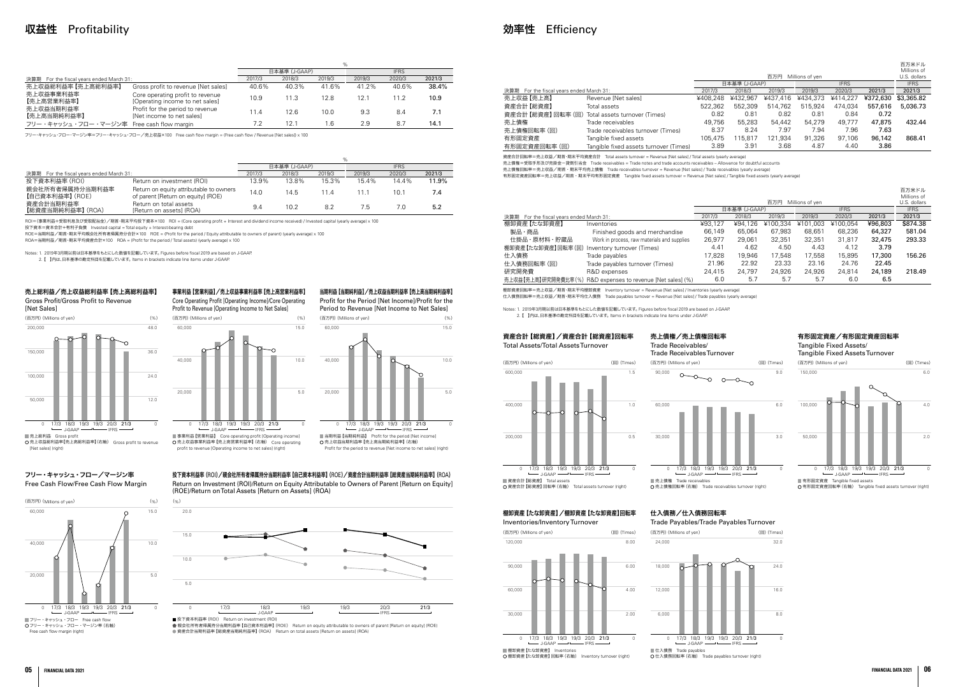Core Operating Profit [Operating Income]/Core Operating Profit to Revenue [Operating Income to Net Sales] (百万円)(Millions of yen) (%)

■事業利益【営業利益】 Core operating profit [Operating income] 売上収益事業利益率【売上高営業利益率】(右軸) Core operating nue [Operating income to net sales] (right)

Gross Profit/Gross Profit to Revenue [Net Sales]

ー 3.ニー・・・・。<br>つ 売上収益総利益率 【売上高総利益率】(右軸) Gross profit to revenue [Net sales] (right)

# 売上総利益/売上収益総利益率【売上高総利益率】

### 事業利益【営業利益】/売上収益事業利益率【売上高営業利益率】 当期利益【当期純利益】/売上収益当期利益率【売上高当期純利益率】

Profit for the Period [Net Income]/Profit for the Period to Revenue [Net Income to Net Sales]

■ fx + external = thon = neturn on investment (nor)<br>● 親会社所有者帰属持分当期利益率【自己資本利益率】(ROE) Return on equity attributable to owners of parent [Return on equity] (ROE) 資産合計当期利益率【総資産当期純利益率】(ROA) Return on total assets [Return on assets] (ROA)

# 効率性 Efficiency

投下資本利益率(ROI)/親会社所有者帰属持分当期利益率【自己資本利益率】(ROE)/資産合計当期利益率【総資産当期純利益率】(ROA) Return on Investment (ROI)/Return on Equity Attributable to Owners of Parent [Return on Equity] (ROE)/Return on Total Assets [Return on Assets] (ROA)

### フリー・キャッシュ・フロー/マージン率 Free Cash Flow/Free Cash Flow Margin

# 収益性 Profitability

|                                          |                                                                     | $\%$   |               |        |             |        |        |
|------------------------------------------|---------------------------------------------------------------------|--------|---------------|--------|-------------|--------|--------|
|                                          |                                                                     |        | 日本基準 (J-GAAP) |        | <b>IFRS</b> |        |        |
| 決算期 For the fiscal years ended March 31: |                                                                     | 2017/3 | 2018/3        | 2019/3 | 2019/3      | 2020/3 | 2021/3 |
| 売上収益総利益率【売上高総利益率】                        | Gross profit to revenue [Net sales]                                 | 40.6%  | 40.3%         | 41.6%  | 41.2%       | 40.6%  | 38.4%  |
| 売上収益事業利益率<br>【売上高営業利益率】                  | Core operating profit to revenue<br>[Operating income to net sales] | 10.9   | 11.3          | 12.8   | 12.1        | 11.2   | 10.9   |
| 売上収益当期利益率<br>【売上高当期純利益率】                 | Profit for the period to revenue<br>[Net income to net sales]       | 11.4   | 12.6          | 10.0   | 9.3         | 8.4    | 7.1    |
| フリー・キャッシュ・フロー・マージン率                      | Free cash flow margin                                               | 7.2    | 12.1          | l .6   | 2.9         | 8.7    | 14.1   |



フリー・キャッシュ・フロー・マージン率=フリー・キャッシュ・フロー/売上収益×100 Free cash flow margin = (Free cash flow / Revenue [Net sales]) x 100

|                                             |                                                                               | %      |               |        |             |        |        |
|---------------------------------------------|-------------------------------------------------------------------------------|--------|---------------|--------|-------------|--------|--------|
|                                             |                                                                               |        | 日本基準 (J-GAAP) |        | <b>IFRS</b> |        |        |
| 決算期<br>For the fiscal years ended March 31: |                                                                               | 2017/3 | 2018/3        | 2019/3 | 2019/3      | 2020/3 | 2021/3 |
| 投下資本利益率 (ROI)                               | Return on investment (ROI)                                                    | 13.9%  | 13.8%         | 15.3%  | 15.4%       | 14.4%  | 11.9%  |
| 親会社所有者帰属持分当期利益率<br>【自己資本利益率】 (ROE)          | Return on equity attributable to owners<br>of parent [Return on equity] (ROE) | 14.0   | 14.5          | 114    |             | 10.1   | 7.4    |
| 資産合計当期利益率<br>【総資産当期純利益率】 (ROA)              | Return on total assets<br>[Return on assets] (ROA)                            | 9.4    | 10.2          | 8.2    | 7.5         | 7.0    | 5.2    |



Free cash flow margin (right)

ROI=(事業利益+受取利息及び受取配当金)/期首・期末平均投下資本×100 ROI = (Core operating profit + Interest and dividend income received) / Invested capital (yearly average) x 100

投下資本=資本合計+有利子負債 Invested capital = Total equity + Interest-bearing debt

ROE=当期利益/期首・期末平均親会社所有者帰属持分合計×100 ROE = (Profit for the period / Equity attributable to owners of parent) (yearly average) x 100

ROA=当期利益/期首・期末平均資産合計×100 ROA = (Profit for the period / Total assets) (yearly average) x 100

Notes: 1. 2019年3月期以前は日本基準をもとにした数値を記載しています。 Figures before fiscal 2019 are based on J-GAAP.

2. 【 】内は、日本基準の勘定科目を記載しています。 Items in brackets indicate line items under J-GAAP.

20,000

40,000

60,000

0

5.0

10.0

15.0

# 50,000 100,000 150,000 2.0 4.0 6.0  $-$  J-GAAP  $-$

**□ 136 口定交産 Tangible mile assets for assets turnover (right) O** 有形固定資産回転率 (右軸) Tangible fixed assets turnover (right)

■ 有形固定資産 Tangible fixed assets

売上債権/売上債権回転率 Trade Receivables/ Trade Receivables Turnover



# 資産合計【総資産】/資産合計【総資産】回転率 Total Assets/Total Assets Turnover





(百万円)(Millions of yen) (回)(Times)

# 棚卸資産【たな卸資産】/棚卸資産【たな卸資産】回転率



# 仕入債務/仕入債務回転率

|                                          |                                        |          |                              | 百万円      | Millions of yen |          |          | 百万米ドル<br>Millions of<br>U.S. dollars |
|------------------------------------------|----------------------------------------|----------|------------------------------|----------|-----------------|----------|----------|--------------------------------------|
|                                          |                                        |          | 日本基準 (J-GAAP)<br><b>IFRS</b> |          |                 |          |          |                                      |
| 決算期 For the fiscal years ended March 31: | 2017/3                                 | 2018/3   | 2019/3                       | 2019/3   | 2020/3          | 2021/3   | 2021/3   |                                      |
| 売上収益【売上高】                                | Revenue [Net sales]                    | ¥408.248 | ¥432.967                     | ¥437.416 | ¥434,373        | ¥414.227 | ¥372,630 | \$3,365.82                           |
| 資産合計【総資産】                                | Total assets                           | 522.362  | 552,309                      | 514.762  | 515.924         | 474.034  | 557,616  | 5,036.73                             |
| 資産合計【総資産】回転率(回)                          | Total assets turnover (Times)          | 0.82     | 0.81                         | 0.82     | 0.81            | 0.84     | 0.72     |                                      |
| 売上債権                                     | Trade receivables                      | 49.756   | 55,283                       | 54.442   | 54,279          | 49.777   | 47.875   | 432.44                               |
| 売上債権回転率 (回)                              | Trade receivables turnover (Times)     | 8.37     | 8.24                         | 7.97     | 7.94            | 7.96     | 7.63     |                                      |
| 有形固定資産                                   | Tangible fixed assets                  | 105.475  | 115.817                      | 121.934  | 91,326          | 97.106   | 96,142   | 868.41                               |
| 有形固定資産回転率(回)                             | Tangible fixed assets turnover (Times) | 3.89     | 3.91                         | 3.68     | 4.87            | 4.40     | 3.86     |                                      |

資産合計回転率=売上収益/期首・期末平均資産合計 Total assets turnover = Revenue [Net sales] / Total assets (yearly average) 売上債権=受取手形及び売掛金-貸倒引当金 Trade receivables = Trade notes and trade accounts receivables – Allowance for doubtful accounts 売上債権回転率=売上収益/期首・期末平均売上債権 Trade receivables turnover = Revenue [Net sales] / Trade receivables (yearly average) 有形固定資産回転率=売上収益/期首・期末平均有形固定資産 Tangible fixed assets turnover = Revenue [Net sales] / Tangible fixed assets (yearly average)



Inventories/Inventory Turnover (百万円)(Millions of yen) (回)(Times)  $120,000$ 8.00



Trade Payables/Trade Payables Turnover (百万円)(Millions of yen) (回)(Times) 24,000



|                                             |                                                               |                              |         |          |                 |          |         | 百万米ドル<br>Millions of |
|---------------------------------------------|---------------------------------------------------------------|------------------------------|---------|----------|-----------------|----------|---------|----------------------|
|                                             |                                                               |                              |         | 百万円      | Millions of ven |          |         | U.S. dollars         |
|                                             |                                                               | 日本基準 (J-GAAP)<br><b>IFRS</b> |         |          |                 |          |         | <b>IFRS</b>          |
| For the fiscal years ended March 31:<br>決算期 |                                                               | 2017/3                       | 2018/3  | 2019/3   | 2019/3          | 2020/3   | 2021/3  | 2021/3               |
| 棚卸資産【たな卸資産】                                 | Inventories                                                   | ¥93.127                      | ¥94.126 | ¥100.334 | ¥101.003        | ¥100.054 | ¥96,803 | \$874.38             |
| 製品・商品                                       | Finished goods and merchandise                                | 66,149                       | 65.064  | 67.983   | 68,651          | 68,236   | 64,327  | 581.04               |
| 仕掛品・原材料・貯蔵品                                 | Work in process, raw materials and supplies                   | 26,977                       | 29,061  | 32,351   | 32,351          | 31,817   | 32,475  | 293.33               |
| 棚卸資産【たな卸資産】回転率(回)                           | Inventory turnover (Times)                                    | 4.41                         | 4.62    | 4.50     | 4.43            | 4.12     | 3.79    |                      |
| 仕入債務                                        | Trade payables                                                | 17,828                       | 19.946  | 17.548   | 17.558          | 15,895   | 17,300  | 156.26               |
| 仕入債務回転率 (回)                                 | Trade payables turnover (Times)                               | 21.96                        | 22.92   | 23.33    | 23.16           | 24.76    | 22.45   |                      |
| 研究開発費                                       | R&D expenses                                                  | 24.415                       | 24.797  | 24.926   | 24.926          | 24.814   | 24,189  | 218.49               |
|                                             | 売上収益 【売上高】研究開発費比率 (%) R&D expenses to revenue [Net sales] (%) | 6.0                          | 5.7     | 5.7      | 5.7             | 6.0      | 6.5     |                      |

棚卸資産回転率=売上収益/期首・期末平均棚卸資産 Inventory turnover = Revenue [Net sales] / Inventories (yearly average) 仕入債務回転率=売上収益/期首・期末平均仕入債務 Trade payables turnover = Revenue [Net sales] / Trade payables (yearly average)

Notes: 1. 2019年3月期以前は日本基準をもとにした数値を記載しています。 Figures before fiscal 2019 are based on J-GAAP. 2. 【 】内は、日本基準の勘定科目を記載しています。 Items in brackets indicate line items under J-GAAP.



0 8.0 24.0 32.0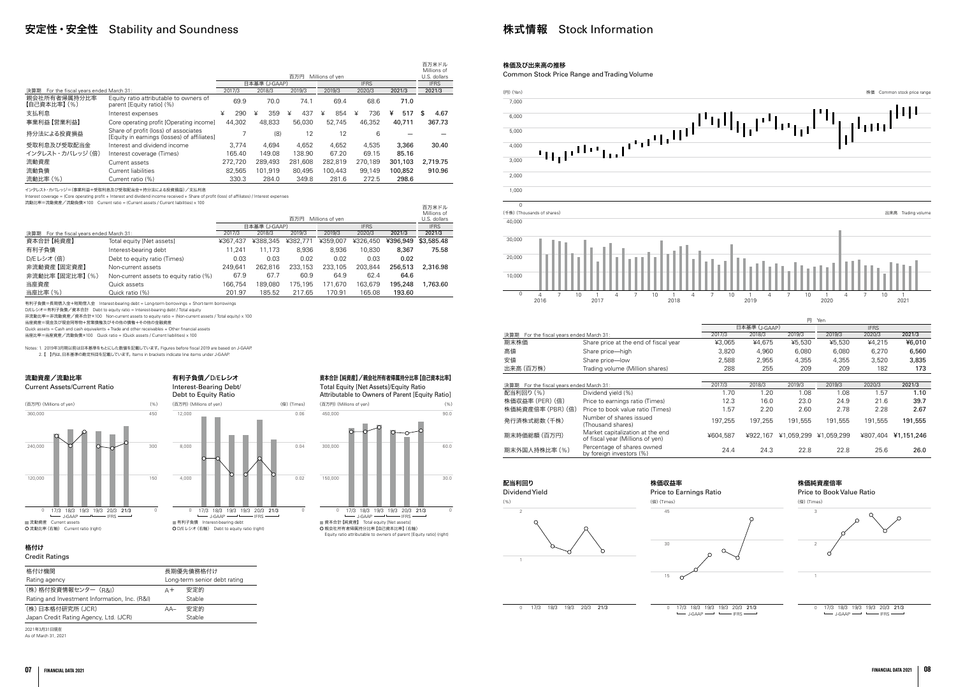### 有利子負債/D/Eレシオ Interest-Bearing Debt/ Debt to Equity Ratio

### 流動資産/流動比率

Current Assets/Current Ratio

格付け Credit Ratings

| 格付け機関                                         | 長期優先債務格付け |                              |  |  |  |
|-----------------------------------------------|-----------|------------------------------|--|--|--|
| Rating agency                                 |           | Long-term senior debt rating |  |  |  |
| (株)格付投資情報センター (R&I)                           | A+        | 安定的                          |  |  |  |
| Rating and Investment Information, Inc. (R&I) |           | Stable                       |  |  |  |
| (株)日本格付研究所 (JCR)                              | $AA-$     | 安定的                          |  |  |  |
| Japan Credit Rating Agency, Ltd. (JCR)        |           | Stable                       |  |  |  |

■資本合計【純資産】 Total equity [Net assets] 親会社所有者帰属持分比率【自己資本比率】(右軸) Equity ratio attributable to owners of parent [Equity ratio] (right)

2021年3月31日現在 As of March 31, 2021

### 資本合計【純資産】/親会社所有者帰属持分比率【自己資本比率】

Total Equity [Net Assets]/Equity Ratio Attributable to Owners of Parent [Equity Ratio]

# 安定性・安全性 Stability and Soundness

|                                             |                                                                                     |          |               | 百万円      | Millions of yen |             |          | 百万米ドル<br>Millions of<br>U.S. dollars |
|---------------------------------------------|-------------------------------------------------------------------------------------|----------|---------------|----------|-----------------|-------------|----------|--------------------------------------|
|                                             |                                                                                     |          | 日本基準 (J-GAAP) |          |                 | <b>IFRS</b> |          | <b>IFRS</b>                          |
| For the fiscal vears ended March 31:<br>決算期 |                                                                                     | 2017/3   | 2018/3        | 2019/3   | 2019/3          | 2020/3      | 2021/3   | 2021/3                               |
| 親会社所有者帰属持分比率<br>【自己資本比率】 (%)                | Equity ratio attributable to owners of<br>parent [Equity ratio] (%)                 | 69.9     | 70.0          | 74.1     | 69.4            | 68.6        | 71.0     |                                      |
| 支払利息                                        | Interest expenses                                                                   | ¥<br>290 | ¥<br>359      | 437<br>¥ | ¥<br>854        | 736<br>¥    | ¥<br>517 | 4.67<br>S                            |
| 事業利益【営業利益】                                  | Core operating profit [Operating income]                                            | 44,302   | 48,833        | 56,030   | 52.745          | 46.352      | 40.711   | 367.73                               |
| 特分法による投資損益                                  | Share of profit (loss) of associates<br>[Equity in earnings (losses) of affiliates] |          | (8)           | 12       | 12              | 6           |          |                                      |
| 受取利息及び受取配当金                                 | Interest and dividend income                                                        | 3.774    | 4.694         | 4.652    | 4.652           | 4.535       | 3,366    | 30.40                                |
| インタレスト・カバレッジ (倍)                            | Interest coverage (Times)                                                           | 165.40   | 149.08        | 138.90   | 67.20           | 69.15       | 85.16    |                                      |
| 流動資産                                        | Current assets                                                                      | 272.720  | 289,493       | 281.608  | 282.819         | 270.189     | 301,103  | 2.719.75                             |
| 流動負債                                        | Current liabilities                                                                 | 82.565   | 101.919       | 80.495   | 100.443         | 99.149      | 100,852  | 910.96                               |
| 流動比率 (%)                                    | Current ratio (%)                                                                   | 330.3    | 284.0         | 349.8    | 281.6           | 272.5       | 298.6    |                                      |

インタレスト・カバレッジ=(事業利益+受取利息及び受取配当金+持分法による投資損益)/支払利息

(百万円)(Millions of yen) (%) 450



Interest coverage = (Core operating profit + Interest and dividend income received + Share of profit (loss) of affiliates) / Interest expenses

流動比率=流動資産/流動負債×100 Current ratio = (Current assets / Current liabilities) x 100



|                                             | 流動比率=流動資産/流動負債×100   Current ratio = (Current assets / Current liabilities) x 100 |          |               | 百万円      | Millions of yen |             |          | 百万米ドル<br>Millions of<br>U.S. dollars |
|---------------------------------------------|-----------------------------------------------------------------------------------|----------|---------------|----------|-----------------|-------------|----------|--------------------------------------|
|                                             |                                                                                   |          | 日本基準 (J-GAAP) |          |                 | <b>IFRS</b> |          | <b>IFRS</b>                          |
| For the fiscal years ended March 31:<br>決算期 |                                                                                   | 2017/3   | 2018/3        | 2019/3   | 2019/3          | 2020/3      | 2021/3   | 2021/3                               |
| 資本合計【純資産】                                   | Total equity [Net assets]                                                         | ¥367.437 | ¥388,345      | ¥382.771 | ¥359,007        | ¥326,450    | ¥396,949 | \$3,585,48                           |
| 有利子負債                                       | Interest-bearing debt                                                             | 11.241   | 11.173        | 8.936    | 8.936           | 10.830      | 8,367    | 75.58                                |
| D/Eレシオ (倍)                                  | Debt to equity ratio (Times)                                                      | 0.03     | 0.03          | 0.02     | 0.02            | 0.03        | 0.02     |                                      |
| 非流動資産【固定資産】                                 | Non-current assets                                                                | 249.641  | 262.816       | 233.153  | 233,105         | 203.844     | 256,513  | 2,316.98                             |
| 非流動比率【固定比率】 (%)                             | Non-current assets to equity ratio (%)                                            | 67.9     | 67.7          | 60.9     | 64.9            | 62.4        | 64.6     |                                      |
| 当座資産                                        | Quick assets                                                                      | 166.754  | 189.080       | 175,195  | 171.670         | 163,679     | 195,248  | 1.763.60                             |
| 当座比率 (%)                                    | Quick ratio (%)                                                                   | 201.97   | 185.52        | 217.65   | 170.91          | 165.08      | 193.60   |                                      |

 $J-GAAP$   $\longrightarrow$   $J-GAAP$   $\longrightarrow$   $IFRS$ 17/3 18/3 19/3 19/3 20/3 21/3



有利子負債=長期借入金+短期借入金 Interest-bearing debt = Long-term borrowings + Short-term borrowings

D/Eレシオ=有利子負債/資本合計 Debt to equity ratio = Interest-bearing debt / Total equity

非流動比率=非流動資産/資本合計×100 Non-current assets to equity ratio = (Non-current assets / Total equity) x 100

当座資産=現金及び現金同等物+営業債権及びその他の債権+その他の金融資産

Quick assets = Cash and cash equivalents + Trade and other receivables + Other financial assets

当座比率=当座資産/流動負債×100 Quick ratio = (Quick assets / Current liabilities) x 100

Notes: 1. 2019年3月期以前は日本基準をもとにした数値を記載しています。 Figures before fiscal 2019 are based on J-GAAP. 2. 【 】内は、日本基準の勘定科目を記載しています。 Items in brackets indicate line items under J-GAAP.



# 株式情報 Stock Information



Price to Book Value Ratio



### 株価及び出来高の推移

Common Stock Price Range and Trading Volume



|                                             |                                                                      |          | 日本基準            |
|---------------------------------------------|----------------------------------------------------------------------|----------|-----------------|
| 決算期<br>For the fiscal years ended March 31: |                                                                      | 2017/3   | 201             |
| 期末株価                                        | Share price at the end of fiscal year                                | ¥3.065   | ¥               |
| 高値                                          | Share price-high                                                     | 3.820    |                 |
| 安値                                          | Share price-low                                                      | 2,588    |                 |
| 出来高 (百万株)                                   | Trading volume (Million shares)                                      | 288      |                 |
|                                             |                                                                      |          |                 |
| 決算期<br>For the fiscal years ended March 31: |                                                                      | 2017/3   | 201             |
| 配当利回り (%)                                   | Dividend yield (%)                                                   | 1.70     |                 |
| 株価収益率 (PER) (倍)                             | Price to earnings ratio (Times)                                      | 12.3     |                 |
| 株価純資産倍率 (PBR) (倍)                           | Price to book value ratio (Times)                                    | 1.57     |                 |
| 発行済株式総数 (千株)                                | Number of shares issued<br>(Thousand shares)                         | 197.255  | 19 <sub>1</sub> |
| 期末時価総額(百万円)                                 | Market capitalization at the end<br>of fiscal year (Millions of yen) | ¥604.587 | 4922            |
| 期末外国人持株比率 (%)                               | Percentage of shares owned<br>hy foreian investors (%)               | 24.4     |                 |

0 17/3 18/3 19/3 20/3 21/3 0

0

<sup>17/3</sup> 18/3 19/3 19/3 20/3 21/3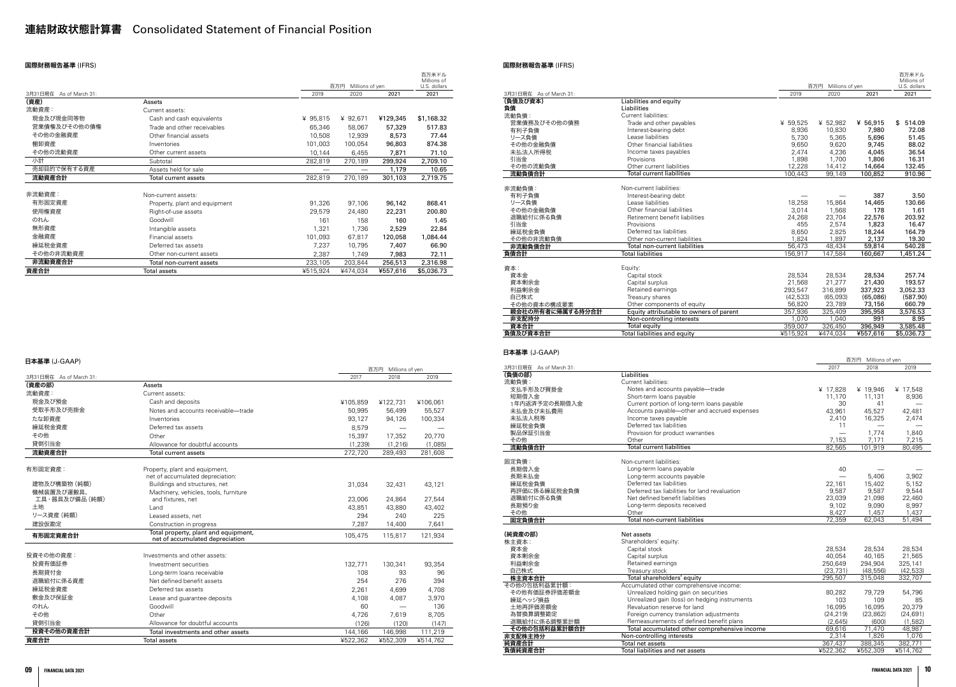# 連結財政状態計算書 Consolidated Statement of Financial Position

### 国際財務報告基準 (IFRS)

|                         |                               |          | 百万円<br>Millions of yen |          | 百万米ドル<br>Millions of<br>U.S. dollars |
|-------------------------|-------------------------------|----------|------------------------|----------|--------------------------------------|
| 3月31日現在 As of March 31: |                               | 2019     | 2020                   | 2021     | 2021                                 |
| (資産)                    | Assets                        |          |                        |          |                                      |
| 流動資産:                   | Current assets:               |          |                        |          |                                      |
| 現金及び現金同等物               | Cash and cash equivalents     | ¥ 95,815 | ¥ 92,671               | ¥129,345 | \$1,168.32                           |
| 営業債権及びその他の債権            | Trade and other receivables   | 65,346   | 58,067                 | 57,329   | 517.83                               |
| その他の金融資産                | Other financial assets        | 10,508   | 12,939                 | 8,573    | 77.44                                |
| 棚卸資産                    | Inventories                   | 101,003  | 100.054                | 96,803   | 874.38                               |
| その他の流動資産                | Other current assets          | 10,144   | 6,455                  | 7,871    | 71.10                                |
| 小計                      | Subtotal                      | 282,819  | 270,189                | 299,924  | 2,709.10                             |
| 売却目的で保有する資産             | Assets held for sale          |          |                        | 1,179    | 10.65                                |
| 流動資産合計                  | Total current assets          | 282,819  | 270,189                | 301,103  | 2,719.75                             |
|                         |                               |          |                        |          |                                      |
| 非流動資産:                  | Non-current assets:           |          |                        |          |                                      |
| 有形固定資産                  | Property, plant and equipment | 91,326   | 97,106                 | 96,142   | 868.41                               |
| 使用権資産                   | Right-of-use assets           | 29,579   | 24,480                 | 22,231   | 200.80                               |
| のれん                     | Goodwill                      | 161      | 158                    | 160      | 1.45                                 |
| 無形資産                    | Intangible assets             | 1,321    | 1,736                  | 2,529    | 22.84                                |
| 金融資産                    | Financial assets              | 101,093  | 67,817                 | 120,058  | 1,084.44                             |
| 繰延税金資産                  | Deferred tax assets           | 7,237    | 10,795                 | 7,407    | 66.90                                |
| その他の非流動資産               | Other non-current assets      | 2,387    | 1,749                  | 7,983    | 72.11                                |
| 非流動資産合計                 | Total non-current assets      | 233,105  | 203,844                | 256,513  | 2,316.98                             |
| 資産合計                    | Total assets                  | ¥515,924 | ¥474.034               | ¥557,616 | \$5,036.73                           |

### 日本基準 (J-GAAP)

|                         |                                                                         |          | 百万円 Millions of yen |          |
|-------------------------|-------------------------------------------------------------------------|----------|---------------------|----------|
| 3月31日現在 As of March 31: |                                                                         | 2017     | 2018                | 2019     |
| (資産の部)                  | Assets                                                                  |          |                     |          |
| 流動資産:                   | Current assets:                                                         |          |                     |          |
| 現金及び預金                  | Cash and deposits                                                       | ¥105,859 | ¥122,731            | ¥106,061 |
| 受取手形及び売掛金               | Notes and accounts receivable-trade                                     | 50.995   | 56,499              | 55,527   |
| たな卸資産                   | Inventories                                                             | 93,127   | 94,126              | 100,334  |
| 繰延税金資産                  | Deferred tax assets                                                     | 8,579    |                     |          |
| その他                     | Other                                                                   | 15,397   | 17,352              | 20,770   |
| 貸倒引当金                   | Allowance for doubtful accounts                                         | (1, 239) | (1, 216)            | (1,085)  |
| 流動資産合計                  | <b>Total current assets</b>                                             | 272,720  | 289,493             | 281,608  |
| 有形固定資産:                 | Property, plant and equipment,<br>net of accumulated depreciation:      |          |                     |          |
| 建物及び構築物 (純額)            | Buildings and structures, net                                           | 31,034   | 32,431              | 43.121   |
| 機械装置及び運搬具、              | Machinery, vehicles, tools, furniture                                   |          |                     |          |
| 工具・器具及び備品 (純額)          | and fixtures, net                                                       | 23,006   | 24,864              | 27,544   |
| 土地                      | Land                                                                    | 43,851   | 43,880              | 43,402   |
| リース資産 (純額)              | Leased assets, net                                                      | 294      | 240                 | 225      |
| 建設仮勘定                   | Construction in progress                                                | 7,287    | 14,400              | 7.641    |
| 有形固定資産合計                | Total property, plant and equipment,<br>net of accumulated depreciation | 105,475  | 115,817             | 121,934  |
| 投資その他の資産:               | Investments and other assets:                                           |          |                     |          |
| 投資有価証券                  | Investment securities                                                   | 132.771  | 130,341             | 93,354   |
| 長期貸付金                   | Long-term loans receivable                                              | 108      | 93                  | 96       |
| 退職給付に係る資産               | Net defined benefit assets                                              | 254      | 276                 | 394      |
| 繰延税金資産                  | Deferred tax assets                                                     | 2.261    | 4,699               | 4.708    |
| 敷金及び保証金                 | Lease and guarantee deposits                                            | 4,108    | 4.087               | 3.970    |
| のれん                     | Goodwill                                                                | 60       |                     | 136      |
| その他                     | Other                                                                   | 4.726    | 7,619               | 8.705    |
| 貸倒引当金                   | Allowance for doubtful accounts                                         | (126)    | (120)               | (147)    |
| 投資その他の資産合計              | Total investments and other assets                                      | 144,166  | 146,998             | 111,219  |
| 資産合計                    | <b>Total assets</b>                                                     | ¥522,362 | ¥552,309            | ¥514.762 |

### 国際財務報告基準 (IFRS)

|                                          |                                                                                     |                  |                      |                             | 百万米ドル<br>Millions of  |
|------------------------------------------|-------------------------------------------------------------------------------------|------------------|----------------------|-----------------------------|-----------------------|
|                                          |                                                                                     |                  | 百万円 Millions of yen  |                             | U.S. dollars          |
| 3月31日現在 As of March 31:                  |                                                                                     | 2019             | 2020                 | 2021                        | 2021                  |
| (負債及び資本)<br>負債                           | Liabilities and equity<br>Liabilities                                               |                  |                      |                             |                       |
| 流動負債:                                    | Current liabilities:                                                                |                  |                      |                             |                       |
| 営業債務及びその他の債務                             | Trade and other payables                                                            | ¥ 59,525         | ¥ 52,982             | ¥ 56,915                    | \$514.09              |
| 有利子負債                                    | Interest-bearing debt                                                               | 8,936            | 10,830               | 7,980                       | 72.08                 |
| リース負債                                    | Lease liabilities                                                                   | 5,730            | 5,365                | 5,696                       | 51.45                 |
| その他の金融負債                                 | Other financial liabilities                                                         | 9,650            | 9,620                | 9,745                       | 88.02                 |
| 未払法人所得税<br>引当金                           | Income taxes payables<br>Provisions                                                 | 2,474<br>1,898   | 4,236<br>1,700       | 4,045<br>1,806              | 36.54<br>16.31        |
| その他の流動負債                                 | Other current liabilities                                                           | 12,228           | 14,412               | 14,664                      | 132.45                |
| 流動負債合計                                   | <b>Total current liabilities</b>                                                    | 100,443          | 99,149               | 100.852                     | 910.96                |
|                                          |                                                                                     |                  |                      |                             |                       |
| 非流動負債:                                   | Non-current liabilities:                                                            |                  |                      |                             |                       |
| 有利子負債                                    | Interest-bearing debt                                                               |                  |                      | 387                         | 3.50                  |
| リース負債<br>その他の金融負債                        | Lease liabilities<br>Other financial liabilities                                    | 18,258<br>3,014  | 15,864<br>1,568      | 14,465<br>178               | 130.66<br>1.61        |
| 退職給付に係る負債                                | Retirement benefit liabilities                                                      | 24,268           | 23,704               | 22,576                      | 203.92                |
| 引当金                                      | Provisions                                                                          | 455              | 2,574                | 1,823                       | 16.47                 |
| 繰延税金負債                                   | Deferred tax liabilities                                                            | 8,650            | 2,825                | 18,244                      | 164.79                |
| その他の非流動負債                                | Other non-current liabilities                                                       | 1,824            | 1,897                | 2,137                       | 19.30                 |
| 非流動負債合計                                  | Total non-current liabilities                                                       | 56,473           | 48,434               | 59,814                      | 540.28                |
| 負債合計                                     | <b>Total liabilities</b>                                                            | 156.917          | 147.584              | 160,667                     | 1,451.24              |
| 資本:                                      | Equity:                                                                             |                  |                      |                             |                       |
| 資本金                                      | Capital stock                                                                       | 28,534           | 28,534               | 28,534                      | 257.74                |
| 資本剰余金                                    | Capital surplus                                                                     | 21,568           | 21,277               | 21,430                      | 193.57                |
| 利益剰余金                                    | Retained earnings                                                                   | 293,547          | 316,899              | 337,923                     | 3,052.33              |
| 自己株式                                     | Treasury shares                                                                     | (42, 533)        | (65,093)             | (65,086)                    | (587.90)              |
| その他の資本の構成要素                              | Other components of equity<br>Equity attributable to owners of parent               | 56,820           | 23,789               | 73,156                      | 660.79                |
| 親会社の所有者に帰属する持分合計<br>非支配持分                | Non-controlling interests                                                           | 357,936<br>1,070 | 325,409<br>1,040     | 395,958<br>991              | 3,576.53<br>8.95      |
| 資本合計                                     | Total equity                                                                        | 359,007          | 326,450              | 396,949                     | 3,585.48              |
| 負債及び資本合計                                 | Total liabilities and equity                                                        | ¥515,924         | ¥474,034             | ¥557,616                    | \$5,036.73            |
| 日本基準 (J-GAAP)<br>3月31日現在 As of March 31: |                                                                                     |                  | 2017                 | 百万円 Millions of yen<br>2018 | 2019                  |
|                                          |                                                                                     |                  |                      |                             |                       |
| (負債の部)                                   | Liabilities                                                                         |                  |                      |                             |                       |
| 流動負債:                                    | Current liabilities:                                                                |                  |                      |                             |                       |
| 支払手形及び買掛金<br>短期借入金                       | Notes and accounts payable-trade<br>Short-term loans payable                        |                  | ¥ 17,828<br>11,170   | ¥ 19,946<br>11,131          | ¥ 17,548<br>8,936     |
| 1年内返済予定の長期借入金                            | Current portion of long-term loans payable                                          |                  | 30                   | 41                          |                       |
| 未払金及び未払費用                                | Accounts payable-other and accrued expenses                                         |                  | 43,961               | 45,527                      | 42,481                |
| 未払法人税等                                   | Income taxes payable                                                                |                  | 2,410                | 16,325                      | 2,474                 |
| 繰延税金負債                                   | Deferred tax liabilities                                                            |                  | 11                   |                             |                       |
| 製品保証引当金<br>その他                           | Provision for product warranties<br>Other                                           |                  |                      | 1,774<br>7,171              | 1,840                 |
| 流動自信合計                                   | <b>Total current liabilities</b>                                                    |                  | 7,153<br>82.565      | 101.919                     | 7,215<br>80.495       |
|                                          |                                                                                     |                  |                      |                             |                       |
| 固定負債:                                    | Non-current liabilities:                                                            |                  |                      |                             |                       |
| 長期借入金<br>長期未払金                           | Long-term loans payable<br>Long-term accounts payable                               |                  | 40                   | 5.406                       | 3,902                 |
| 繰延税金負債                                   | Deferred tax liabilities                                                            |                  | 22,161               | 15,402                      | 5,152                 |
| 再評価に係る繰延税金負債                             | Deferred tax liabilities for land revaluation                                       |                  | 9,587                | 9,587                       | 9,544                 |
| 退職給付に係る負債                                | Net defined benefit liabilities                                                     |                  | 23.039               | 21,098                      | 22.460                |
| 長期預り金                                    | Long-term deposits received                                                         |                  | 9,102                | 9,090                       | 8,997                 |
| その他<br>固定負債合計                            | Other<br>Total non-current liabilities                                              |                  | 8,427<br>72,359      | 1,457                       | 1,437                 |
|                                          |                                                                                     |                  |                      | 62,043                      | 51,494                |
| (純資産の部)                                  | Net assets                                                                          |                  |                      |                             |                       |
| 株主資本:                                    | Shareholders' equity:                                                               |                  |                      |                             |                       |
| 資本金                                      | Capital stock                                                                       |                  | 28,534               | 28,534                      | 28,534                |
| 資本剰余金                                    | Capital surplus                                                                     |                  | 40,054               | 40,165                      | 21,565                |
| 利益剰余金<br>自己株式                            | Retained earnings<br>Treasury stock                                                 |                  | 250,649<br>(23, 731) | 294,904<br>(48, 556)        | 325,141<br>(42, 533)  |
| 株主資本合計                                   | Total shareholders' equity                                                          |                  | 295,507              | 315,048                     | 332,707               |
| その他の包括利益累計額:                             | Accumulated other comprehensive income:                                             |                  |                      |                             |                       |
| その他有価証券評価差額金                             | Unrealized holding gain on securities                                               |                  | 80,282               | 79,729                      | 54,796                |
| 繰延ヘッジ損益                                  | Unrealized gain (loss) on hedging instruments                                       |                  | 103                  | 109                         | 85                    |
| 土地再評価差額金<br>為替換算調整勘定                     | Revaluation reserve for land                                                        |                  | 16,095<br>(24, 219)  | 16,095                      | 20,379                |
| 退職給付に係る調整累計額                             | Foreign currency translation adjustments<br>Remeasurements of defined benefit plans |                  | (2,645)              | (23, 862)<br>(600)          | (24, 691)<br>(1, 582) |
| その他の包括利益累計額合計                            | Total accumulated other comprehensive income                                        |                  | 69,616               | 71,470                      | 48,987                |
| 非支配株主持分                                  | Non-controlling interests                                                           |                  | 2,314                | 1,826                       | 1,076                 |
| 純資産合計<br>負債純資産合計                         | Total net assets<br>Total liabilities and net assets                                |                  | 367,437<br>¥522,362  | 388,345<br>¥552,309         | 382,771<br>¥514,762   |

|                         |                                                                       |                     |                        |                                | 百万米ドル<br>Millions of   |
|-------------------------|-----------------------------------------------------------------------|---------------------|------------------------|--------------------------------|------------------------|
|                         |                                                                       |                     | 百万円<br>Millions of yen |                                | U.S. dollars           |
| 3月31日現在 As of March 31: |                                                                       | 2019                | 2020                   | 2021                           | 2021                   |
| (負債及び資本)                | Liabilities and equity                                                |                     |                        |                                |                        |
| 負債                      | Liabilities                                                           |                     |                        |                                |                        |
| 流動負債:<br>営業債務及びその他の債務   | Current liabilities:<br>Trade and other payables                      | ¥ 59,525            | ¥ 52,982               | ¥ 56,915                       | \$514.09               |
| 有利子負債                   | Interest-bearing debt                                                 | 8,936               | 10,830                 | 7,980                          | 72.08                  |
| リース負債                   | Lease liabilities                                                     | 5,730               | 5,365                  | 5,696                          | 51.45                  |
| その他の金融負債                | Other financial liabilities                                           | 9,650               | 9,620                  | 9,745                          | 88.02                  |
| 未払法人所得税                 | Income taxes payables                                                 | 2,474               | 4,236                  | 4,045                          | 36.54                  |
| 引当金                     | Provisions                                                            | 1,898               | 1,700                  | 1,806                          | 16.31                  |
| その他の流動負債                | Other current liabilities                                             | 12,228              | 14,412                 | 14,664                         | 132.45                 |
| 流動負債合計                  | <b>Total current liabilities</b>                                      | 100,443             | 99,149                 | 100,852                        | 910.96                 |
|                         | Non-current liabilities:                                              |                     |                        |                                |                        |
| 非流動負債:<br>有利子負債         | Interest-bearing debt                                                 |                     |                        | 387                            | 3.50                   |
| リース負債                   | Lease liabilities                                                     | 18,258              | 15,864                 | 14,465                         | 130.66                 |
| その他の金融負債                | Other financial liabilities                                           | 3,014               | 1,568                  | 178                            | 1.61                   |
| 退職給付に係る負債               | Retirement benefit liabilities                                        | 24,268              | 23,704                 | 22,576                         | 203.92                 |
| 引当金                     | Provisions                                                            | 455                 | 2,574                  | 1,823                          | 16.47                  |
| 繰延税金負債                  | Deferred tax liabilities                                              | 8,650               | 2,825                  | 18,244                         | 164.79                 |
| その他の非流動負債               | Other non-current liabilities                                         | 1,824               | 1,897                  | 2,137                          | 19.30                  |
| 非流動負債合計                 | Total non-current liabilities                                         | 56.473              | 48,434                 | 59,814                         | 540.28                 |
| 負債合計                    | <b>Total liabilities</b>                                              | 156,917             | 147,584                | 160,667                        | 1,451.24               |
| 資本:                     | Equity:                                                               |                     |                        |                                |                        |
| 資本金                     | Capital stock                                                         | 28,534              | 28,534                 | 28,534                         | 257.74                 |
| 資本剰余金                   | Capital surplus                                                       | 21,568              | 21,277                 | 21,430                         | 193.57                 |
| 利益剰余金                   | Retained earnings                                                     | 293,547             | 316,899                | 337,923                        | 3,052.33               |
| 自己株式                    | Treasury shares                                                       | (42, 533)           | (65,093)               | (65,086)                       | (587.90)               |
| その他の資本の構成要素             | Other components of equity                                            | 56,820              | 23,789                 | 73,156                         | 660.79                 |
| 親会社の所有者に帰属する持分合計        | Equity attributable to owners of parent                               | 357,936             | 325,409                | 395,958                        | 3,576.53               |
| 非支配持分                   | Non-controlling interests                                             | 1,070               | 1,040                  | 991                            | 8.95                   |
| 資本合計<br>負債及び資本合計        | Total equity<br>Total liabilities and equity                          | 359,007<br>¥515,924 | 326,450<br>¥474,034    | 396,949<br>¥557,616            | 3,585.48<br>\$5,036.73 |
| 3月31日現在 As of March 31: |                                                                       |                     | 2017                   | 百万円<br>Millions of yen<br>2018 | 2019                   |
| (負債の部)                  | Liabilities                                                           |                     |                        |                                |                        |
| 流動負債:                   | Current liabilities:                                                  |                     |                        |                                |                        |
| 支払手形及び買掛金<br>短期借入金      | Notes and accounts payable-trade<br>Short-term loans payable          |                     | ¥ 17,828<br>11,170     | ¥ 19,946<br>11,131             | ¥ 17,548<br>8,936      |
| 1年内返済予定の長期借入金           | Current portion of long-term loans payable                            |                     | 30                     | 41                             |                        |
| 未払金及び未払費用               | Accounts payable-other and accrued expenses                           |                     | 43,961                 | 45,527                         | 42,481                 |
| 未払法人税等                  | Income taxes payable                                                  |                     | 2,410                  | 16,325                         | 2,474                  |
| 繰延税金負債                  | Deferred tax liabilities                                              |                     | 11                     |                                |                        |
| 製品保証引当金                 | Provision for product warranties                                      |                     |                        | 1,774                          | 1,840                  |
| その他<br>流動負債合計           | Other<br><b>Total current liabilities</b>                             |                     | 7,153<br>82.565        | 7,171<br>101.919               | 7,215<br>80 495        |
|                         |                                                                       |                     |                        |                                |                        |
| 固定負債:                   | Non-current liabilities:                                              |                     |                        |                                |                        |
| 長期借入金                   | Long-term loans payable                                               |                     | 40                     |                                |                        |
| 長期未払金                   | Long-term accounts payable                                            |                     |                        | 5,406                          | 3,902                  |
| 繰延税金負債                  | Deferred tax liabilities                                              |                     | 22,161                 | 15,402                         | 5,152                  |
| 再評価に係る繰延税金負債            | Deferred tax liabilities for land revaluation                         |                     | 9,587                  | 9,587                          | 9,544                  |
| 退職給付に係る負債               | Net defined benefit liabilities                                       |                     | 23,039                 | 21,098                         | 22,460                 |
| 長期預り金<br>その他            | Long-term deposits received<br>Other                                  |                     | 9,102<br>8,427         | 9,090<br>1,457                 | 8,997<br>1,437         |
| 固定負債合計                  | Total non-current liabilities                                         |                     | 72,359                 | 62,043                         | 51,494                 |
|                         |                                                                       |                     |                        |                                |                        |
| (純資産の部)                 | Net assets                                                            |                     |                        |                                |                        |
| 株主資本:                   | Shareholders' equity:                                                 |                     |                        |                                |                        |
| 資本金                     | Capital stock                                                         |                     | 28,534                 | 28,534                         | 28,534                 |
| 資本剰余金                   | Capital surplus                                                       |                     | 40,054                 | 40,165                         | 21,565                 |
| 利益剰余金                   | Retained earnings                                                     |                     | 250,649                | 294,904                        | 325,141                |
| 自己株式                    | Treasury stock                                                        |                     | (23, 731)              | (48, 556)                      | (42, 533)              |
| 株主資本合計<br>その他の包括利益累計額:  | Total shareholders' equity<br>Accumulated other comprehensive income: |                     | 295,507                | 315,048                        | 332,707                |
| その他有価証券評価差額金            | Unrealized holding gain on securities                                 |                     | 80,282                 | 79,729                         | 54,796                 |
| 繰延ヘッジ損益                 | Unrealized gain (loss) on hedging instruments                         |                     | 103                    | 109                            | 85                     |
| 土地再評価差額金                | Revaluation reserve for land                                          |                     | 16,095                 | 16,095                         | 20,379                 |
| 為替換算調整勘定                | Foreign currency translation adjustments                              |                     | (24, 219)              | (23, 862)                      | (24, 691)              |
| 退職給付に係る調整累計額            | Remeasurements of defined benefit plans                               |                     | (2,645)                | (600)                          | (1,582)                |
| その他の包括利益累計額合計           | Total accumulated other comprehensive income                          |                     | 69,616                 | 71,470                         | 48,987                 |
| 非支配株主持分                 | Non-controlling interests                                             |                     | 2,314                  | 1,826                          | 1,076                  |
| 純資産合計<br>負債純資産合計        | Total net assets<br>Total liabilities and net assets                  |                     | 367,437<br>¥522,362    | 388,345<br>¥552,309            | 382,771<br>¥514,762    |
|                         |                                                                       |                     |                        |                                |                        |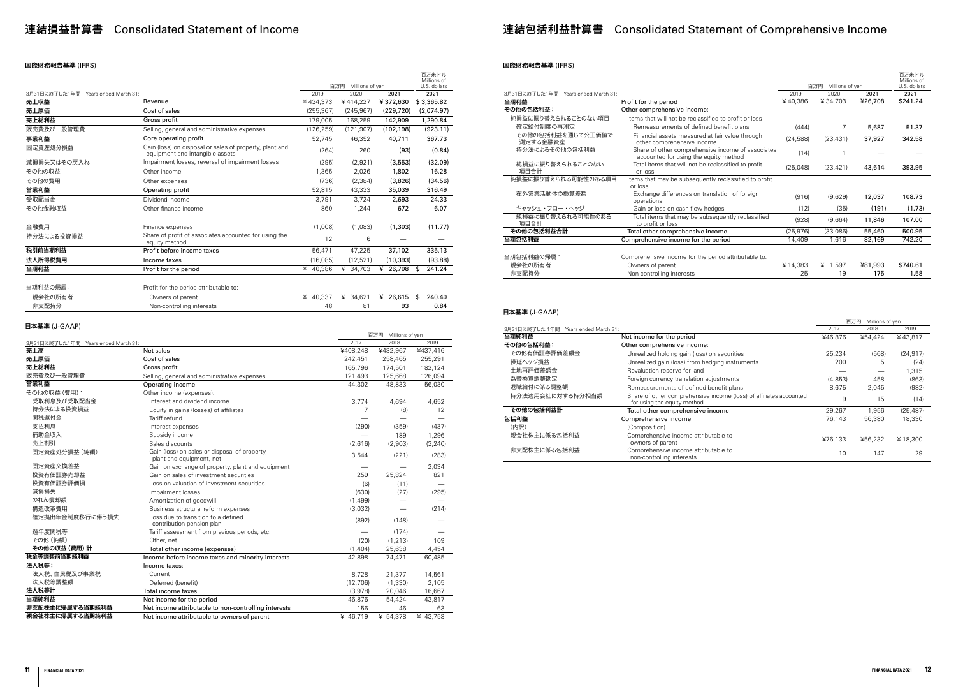### 国際財務報告基準 (IFRS)

|                                     |                                                                                            |            | 百万円<br>Millions of yen |            | 百万米ドル<br>Millions of<br>U.S. dollars |
|-------------------------------------|--------------------------------------------------------------------------------------------|------------|------------------------|------------|--------------------------------------|
| 3月31日に終了した1年間 Years ended March 31: |                                                                                            | 2019       | 2020                   | 2021       | 2021                                 |
| 売上収益                                | Revenue                                                                                    | ¥434.373   | ¥414,227               | ¥372,630   | \$3,365.82                           |
| 売上原価                                | Cost of sales                                                                              | (255, 367) | (245, 967)             | (229, 720) | (2,074.97)                           |
| 売上総利益                               | Gross profit                                                                               | 179,005    | 168,259                | 142,909    | 1,290.84                             |
| 販売費及び一般管理費                          | Selling, general and administrative expenses                                               | (126, 259) | (121.907)              | (102, 198) | (923.11)                             |
| 事業利益                                | Core operating profit                                                                      | 52,745     | 46.352                 | 40,711     | 367.73                               |
| 固定資産処分損益                            | Gain (loss) on disposal or sales of property, plant and<br>equipment and intangible assets | (264)      | 260                    | (93)       | (0.84)                               |
| 減損損失又はその戻入れ                         | Impairment losses, reversal of impairment losses                                           | (295)      | (2,921)                | (3, 553)   | (32.09)                              |
| その他の収益                              | Other income                                                                               | 1,365      | 2,026                  | 1,802      | 16.28                                |
| その他の費用                              | Other expenses                                                                             | (736)      | (2, 384)               | (3,826)    | (34.56)                              |
| 営業利益                                | Operating profit                                                                           | 52.815     | 43,333                 | 35,039     | 316.49                               |
| 受取配当金                               | Dividend income                                                                            | 3.791      | 3.724                  | 2.693      | 24.33                                |
| その他金融収益                             | Other finance income                                                                       | 860        | 1,244                  | 672        | 6.07                                 |
| 金融費用                                | Finance expenses                                                                           | (1,008)    | (1,083)                | (1,303)    | (11.77)                              |
| 持分法による投資損益                          | Share of profit of associates accounted for using the<br>equity method                     | 12         | 6                      |            |                                      |
| 税引前当期利益                             | Profit before income taxes                                                                 | 56,471     | 47,225                 | 37,102     | 335.13                               |
| 法人所得税費用                             | Income taxes                                                                               | (16,085)   | (12,521)               | (10, 393)  | (93.88)                              |
| 当期利益                                | Profit for the period                                                                      | ¥ 40,386   | ¥ 34,703               | ¥ 26,708   | 241.24<br>\$                         |
| 当期利益の帰属:                            | Profit for the period attributable to:                                                     |            |                        |            |                                      |
| 親会社の所有者                             | Owners of parent                                                                           | ¥ 40,337   | ¥ 34,621               | ¥ 26,615   | 240.40<br>\$                         |

| 非支配持分 | Non-controlling interests |  | 93 | 0.84 |
|-------|---------------------------|--|----|------|
|       |                           |  |    |      |

### 日本基準 (J-GAAP)

|                                     |                                                                           |          | 百万円 Millions of yen      |          |
|-------------------------------------|---------------------------------------------------------------------------|----------|--------------------------|----------|
| 3月31日に終了した1年間 Years ended March 31: |                                                                           | 2017     | 2018                     | 2019     |
| 売上高                                 | Net sales                                                                 | ¥408,248 | ¥432,967                 | ¥437,416 |
| 売上原価                                | Cost of sales                                                             | 242,451  | 258,465                  | 255,291  |
| 売上総利益                               | Gross profit                                                              | 165,796  | 174,501                  | 182,124  |
| 販売費及び一般管理費                          | Selling, general and administrative expenses                              | 121,493  | 125,668                  | 126,094  |
| 営業利益                                | Operating income                                                          | 44,302   | 48,833                   | 56,030   |
| その他の収益 (費用):                        | Other income (expenses):                                                  |          |                          |          |
| 受取利息及び受取配当金                         | Interest and dividend income                                              | 3,774    | 4,694                    | 4,652    |
| 持分法による投資損益                          | Equity in gains (losses) of affiliates                                    | 7        | (8)                      | 12       |
| 関税還付金                               | Tariff refund                                                             |          |                          |          |
| 支払利息                                | Interest expenses                                                         | (290)    | (359)                    | (437)    |
| 補助金収入                               | Subsidy income                                                            |          | 189                      | 1,296    |
| 売上割引                                | Sales discounts                                                           | (2,616)  | (2,903)                  | (3, 240) |
| 固定資産処分損益 (純額)                       | Gain (loss) on sales or disposal of property,<br>plant and equipment, net | 3,544    | (221)                    | (283)    |
| 固定資産交換差益                            | Gain on exchange of property, plant and equipment                         |          | $\overline{\phantom{0}}$ | 2,034    |
| 投資有価証券売却益                           | Gain on sales of investment securities                                    | 259      | 25,824                   | 821      |
| 投資有価証券評価損                           | Loss on valuation of investment securities                                | (6)      | (11)                     |          |
| 減損損失                                | Impairment losses                                                         | (630)    | (27)                     | (295)    |
| のれん償却額                              | Amortization of goodwill                                                  | (1,499)  |                          |          |
| 構造改革費用                              | Business structural reform expenses                                       | (3,032)  |                          | (214)    |
| 確定拠出年金制度移行に伴う損失                     | Loss due to transition to a defined<br>contribution pension plan          | (892)    | (148)                    |          |
| 過年度関税等                              | Tariff assessment from previous periods, etc.                             |          | (174)                    |          |
| その他 (純額)                            | Other, net                                                                | (20)     | (1, 213)                 | 109      |
| その他の収益 (費用)計                        | Total other income (expenses)                                             | (1,404)  | 25,638                   | 4,454    |
| 税金等調整前当期純利益                         | Income before income taxes and minority interests                         | 42,898   | 74,471                   | 60,485   |
| 法人税等:                               | Income taxes:                                                             |          |                          |          |
| 法人税、住民税及び事業税                        | Current                                                                   | 8,728    | 21,377                   | 14,561   |
| 法人税等調整額                             | Deferred (benefit)                                                        | (12,706) | (1, 330)                 | 2,105    |
| 法人税等計                               | Total income taxes                                                        | (3,978)  | 20,046                   | 16,667   |
| 当期純利益                               | Net income for the period                                                 | 46,876   | 54,424                   | 43,817   |
| 非支配株主に帰属する当期純利益                     | Net income attributable to non-controlling interests                      | 156      | 46                       | 63       |
| 親会社株主に帰属する当期純利益                     | Net income attributable to owners of parent                               | ¥ 46,719 | ¥ 54,378                 | ¥ 43,753 |
|                                     |                                                                           |          |                          |          |

# 連結損益計算書 Consolidated Statement of Income external tell the manufacture of the manufacture income external tele

## 国際財務報告基準 (IFRS)

|                                        |                                                                                            |           |                        |         | 百万米ドル<br>Millions of |
|----------------------------------------|--------------------------------------------------------------------------------------------|-----------|------------------------|---------|----------------------|
|                                        |                                                                                            | 2019      | 百万円<br>Millions of yen | 2021    | U.S. dollars         |
| 3月31日に終了した1年間<br>Years ended March 31: |                                                                                            |           | 2020                   |         | 2021                 |
| 当期利益                                   | Profit for the period                                                                      | ¥40,386   | ¥34.703                | ¥26,708 | \$241.24             |
| その他の包括利益:                              | Other comprehensive income:                                                                |           |                        |         |                      |
| 純損益に振り替えられることのない項目                     | Items that will not be reclassified to profit or loss                                      |           |                        |         |                      |
| 確定給付制度の再測定                             | Remeasurements of defined benefit plans                                                    | (444)     | 7                      | 5,687   | 51.37                |
| その他の包括利益を通じて公正価値で<br>測定する金融資産          | Financial assets measured at fair value through<br>other comprehensive income              | (24, 588) | (23, 431)              | 37,927  | 342.58               |
| 持分法によるその他の包括利益                         | Share of other comprehensive income of associates<br>accounted for using the equity method | (14)      |                        |         |                      |
| 純損益に振り替えられることのない<br>項目合計               | Total items that will not be reclassified to profit<br>or loss                             | (25,048)  | (23, 421)              | 43,614  | 393.95               |
| 純損益に振り替えられる可能性のある項目                    | Items that may be subsequently reclassified to profit<br>or loss                           |           |                        |         |                      |
| 在外営業活動体の換算差額                           | Exchange differences on translation of foreign<br>operations                               | (916)     | (9,629)                | 12,037  | 108.73               |
| キャッシュ・フロー・ヘッジ                          | Gain or loss on cash flow hedges                                                           | (12)      | (35)                   | (191)   | (1.73)               |
| 純損益に振り替えられる可能性のある<br>項目合計              | Total items that may be subsequently reclassified<br>to profit or loss                     | (928)     | (9,664)                | 11,846  | 107.00               |
| その他の包括利益合計                             | Total other comprehensive income                                                           | (25, 976) | (33,086)               | 55,460  | 500.95               |
| 当期包括利益                                 | Comprehensive income for the period                                                        | 14,409    | 1,616                  | 82,169  | 742.20               |
| 当期包括利益の帰属:                             | Comprehensive income for the period attributable to:                                       |           |                        |         |                      |
| 親会社の所有者                                | Owners of parent                                                                           | ¥14,383   | ¥ $1,597$              | ¥81,993 | \$740.61             |
| 非支配持分                                  | Non-controlling interests                                                                  | 25        | 19                     | 175     | 1.58                 |

### 日本基準 (J-GAAP)

|                                         |                                                                                                   |         | 百万円<br>Millions of yen |           |
|-----------------------------------------|---------------------------------------------------------------------------------------------------|---------|------------------------|-----------|
| 3月31日に終了した 1年間<br>Years ended March 31: |                                                                                                   | 2017    | 2018                   | 2019      |
| 当期純利益                                   | Net income for the period                                                                         | ¥46,876 | ¥54.424                | ¥43.817   |
| その他の包括利益:                               | Other comprehensive income:                                                                       |         |                        |           |
| その他有価証券評価差額金                            | Unrealized holding gain (loss) on securities                                                      | 25.234  | (568)                  | (24, 917) |
| 繰延ヘッジ損益                                 | Unrealized gain (loss) from hedging instruments                                                   | 200     | 5                      | (24)      |
| 土地再評価差額金                                | Revaluation reserve for land                                                                      |         |                        | 1,315     |
| 為替換算調整勘定                                | Foreign currency translation adjustments                                                          | (4,853) | 458                    | (863)     |
| 退職給付に係る調整額                              | Remeasurements of defined benefit plans                                                           | 8.675   | 2.045                  | (982)     |
| 持分法適用会社に対する持分相当額                        | Share of other comprehensive income (loss) of affiliates accounted<br>for using the equity method | 9       | 15                     | (14)      |
| その他の包括利益計                               | Total other comprehensive income                                                                  | 29.267  | 1.956                  | (25, 487) |
| 包括利益                                    | Comprehensive income                                                                              | 76,143  | 56,380                 | 18,330    |
| (内訳)                                    | (Composition)                                                                                     |         |                        |           |
| 親会社株主に係る包括利益                            | Comprehensive income attributable to<br>owners of parent                                          | ¥76.133 | ¥56.232                | ¥18,300   |
| 非支配株主に係る包括利益                            | Comprehensive income attributable to<br>non-controlling interests                                 | 10      | 147                    | 29        |